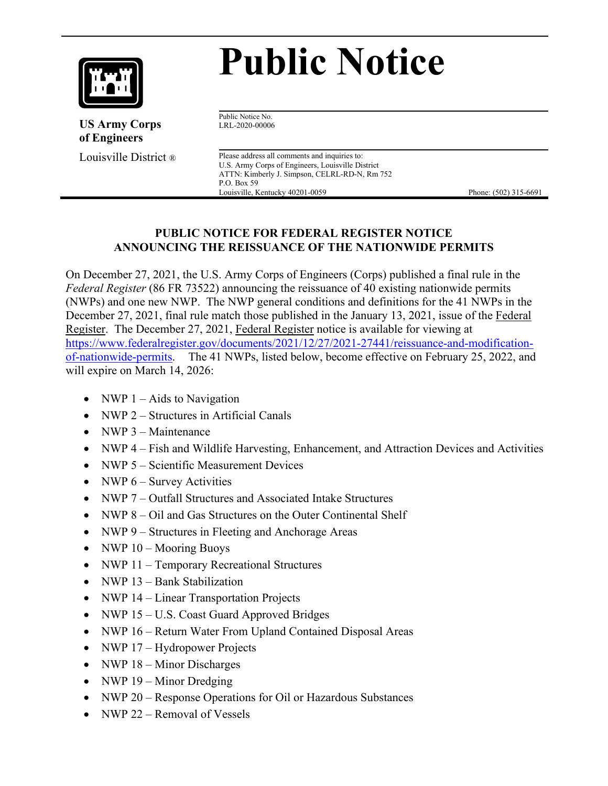

# **Public Notice**

 **US Army Corps of Engineers**

Public Notice No. LRL-2020-00006

**Louisville District**  $\otimes$  Please address all comments and inquiries to: U.S. Army Corps of Engineers, Louisville District ATTN: Kimberly J. Simpson, CELRL-RD-N, Rm 752 P.O. Box 59 Louisville, Kentucky 40201-0059 Phone: (502) 315-6691

#### **PUBLIC NOTICE FOR FEDERAL REGISTER NOTICE ANNOUNCING THE REISSUANCE OF THE NATIONWIDE PERMITS**

On December 27, 2021, the U.S. Army Corps of Engineers (Corps) published a final rule in the *Federal Register* (86 FR 73522) announcing the reissuance of 40 existing nationwide permits (NWPs) and one new NWP. The NWP general conditions and definitions for the 41 NWPs in the December 27, 2021, final rule match those published in the January 13, 2021, issue of the Federal Register. The December 27, 2021, Federal Register notice is available for viewing at [https://www.federalregister.gov/documents/2021/12/27/2021-27441/reissuance-and-modification](https://www.federalregister.gov/documents/2021/12/27/2021-27441/reissuance-and-modification-of-nationwide-permits)[of-nationwide-permits.](https://www.federalregister.gov/documents/2021/12/27/2021-27441/reissuance-and-modification-of-nationwide-permits) The 41 NWPs, listed below, become effective on February 25, 2022, and will expire on March 14, 2026:

- NWP  $1 -$  Aids to Navigation
- NWP 2 Structures in Artificial Canals
- NWP 3 Maintenance
- NWP 4 Fish and Wildlife Harvesting, Enhancement, and Attraction Devices and Activities
- NWP 5 Scientific Measurement Devices
- NWP  $6 -$  Survey Activities
- NWP 7 Outfall Structures and Associated Intake Structures
- NWP 8 Oil and Gas Structures on the Outer Continental Shelf
- NWP 9 Structures in Fleeting and Anchorage Areas
- NWP  $10 -$ Mooring Buoys
- NWP 11 Temporary Recreational Structures
- NWP 13 Bank Stabilization
- NWP 14 Linear Transportation Projects
- NWP 15 U.S. Coast Guard Approved Bridges
- NWP 16 Return Water From Upland Contained Disposal Areas
- NWP 17 Hydropower Projects
- NWP 18 Minor Discharges
- NWP 19 Minor Dredging
- NWP 20 Response Operations for Oil or Hazardous Substances
- NWP 22 Removal of Vessels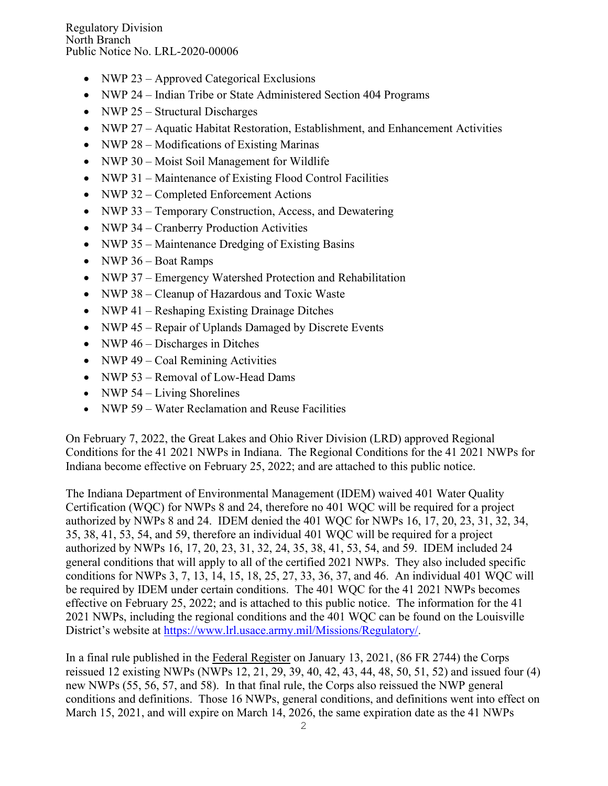- NWP 23 Approved Categorical Exclusions
- NWP 24 Indian Tribe or State Administered Section 404 Programs
- NWP 25 Structural Discharges
- NWP 27 Aquatic Habitat Restoration, Establishment, and Enhancement Activities
- NWP 28 Modifications of Existing Marinas
- NWP 30 Moist Soil Management for Wildlife
- NWP 31 Maintenance of Existing Flood Control Facilities
- NWP 32 Completed Enforcement Actions
- NWP 33 Temporary Construction, Access, and Dewatering
- NWP 34 Cranberry Production Activities
- NWP 35 Maintenance Dredging of Existing Basins
- NWP 36 Boat Ramps
- NWP 37 Emergency Watershed Protection and Rehabilitation
- NWP 38 Cleanup of Hazardous and Toxic Waste
- NWP 41 Reshaping Existing Drainage Ditches
- NWP 45 Repair of Uplands Damaged by Discrete Events
- NWP  $46 Discharges$  in Ditches
- NWP 49 Coal Remining Activities
- NWP 53 Removal of Low-Head Dams
- NWP  $54 Living Shortlines$
- NWP 59 Water Reclamation and Reuse Facilities

On February 7, 2022, the Great Lakes and Ohio River Division (LRD) approved Regional Conditions for the 41 2021 NWPs in Indiana. The Regional Conditions for the 41 2021 NWPs for Indiana become effective on February 25, 2022; and are attached to this public notice.

The Indiana Department of Environmental Management (IDEM) waived 401 Water Quality Certification (WQC) for NWPs 8 and 24, therefore no 401 WQC will be required for a project authorized by NWPs 8 and 24. IDEM denied the 401 WQC for NWPs 16, 17, 20, 23, 31, 32, 34, 35, 38, 41, 53, 54, and 59, therefore an individual 401 WQC will be required for a project authorized by NWPs 16, 17, 20, 23, 31, 32, 24, 35, 38, 41, 53, 54, and 59. IDEM included 24 general conditions that will apply to all of the certified 2021 NWPs. They also included specific conditions for NWPs 3, 7, 13, 14, 15, 18, 25, 27, 33, 36, 37, and 46. An individual 401 WQC will be required by IDEM under certain conditions. The 401 WQC for the 41 2021 NWPs becomes effective on February 25, 2022; and is attached to this public notice. The information for the 41 2021 NWPs, including the regional conditions and the 401 WQC can be found on the Louisville District's website at [https://www.lrl.usace.army.mil/Missions/Regulatory/.](https://www.lrl.usace.army.mil/Missions/Regulatory/)

In a final rule published in the Federal Register on January 13, 2021, (86 FR 2744) the Corps reissued 12 existing NWPs (NWPs 12, 21, 29, 39, 40, 42, 43, 44, 48, 50, 51, 52) and issued four (4) new NWPs (55, 56, 57, and 58). In that final rule, the Corps also reissued the NWP general conditions and definitions. Those 16 NWPs, general conditions, and definitions went into effect on March 15, 2021, and will expire on March 14, 2026, the same expiration date as the 41 NWPs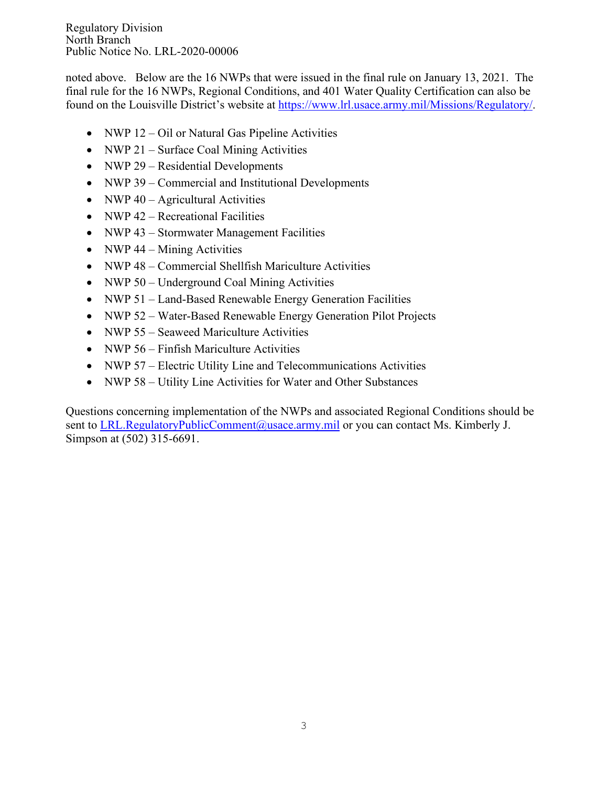Regulatory Division North Branch Public Notice No. LRL-2020-00006

noted above. Below are the 16 NWPs that were issued in the final rule on January 13, 2021. The final rule for the 16 NWPs, Regional Conditions, and 401 Water Quality Certification can also be found on the Louisville District's website at [https://www.lrl.usace.army.mil/Missions/Regulatory/.](https://www.lrl.usace.army.mil/Missions/Regulatory/)

- NWP 12 Oil or Natural Gas Pipeline Activities
- NWP 21 Surface Coal Mining Activities
- NWP 29 Residential Developments
- NWP 39 Commercial and Institutional Developments
- NWP  $40 -$  Agricultural Activities
- NWP 42 Recreational Facilities
- NWP 43 Stormwater Management Facilities
- NWP  $44 -$ Mining Activities
- NWP 48 Commercial Shellfish Mariculture Activities
- NWP 50 Underground Coal Mining Activities
- NWP 51 Land-Based Renewable Energy Generation Facilities
- NWP 52 Water-Based Renewable Energy Generation Pilot Projects
- NWP 55 Seaweed Mariculture Activities
- NWP 56 Finfish Mariculture Activities
- NWP 57 Electric Utility Line and Telecommunications Activities
- NWP 58 Utility Line Activities for Water and Other Substances

Questions concerning implementation of the NWPs and associated Regional Conditions should be sent to [LRL.RegulatoryPublicComment@usace.army.mil](mailto:LRL.RegulatoryPublicComment@usace.army.mil) or you can contact Ms. Kimberly J. Simpson at (502) 315-6691.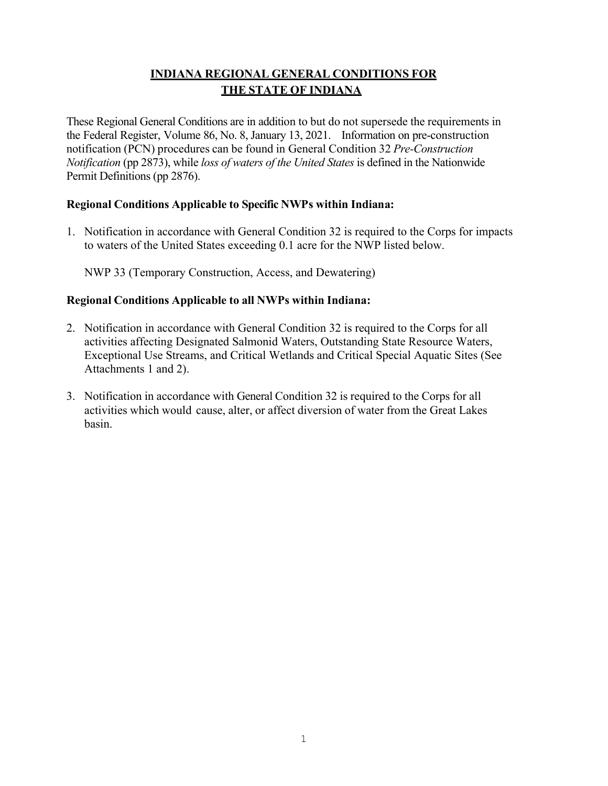# **INDIANA REGIONAL GENERAL CONDITIONS FOR THE STATE OF INDIANA**

These Regional General Conditions are in addition to but do not supersede the requirements in the Federal Register, Volume 86, No. 8, January 13, 2021. Information on pre-construction notification (PCN) procedures can be found in General Condition 32 *Pre-Construction Notification* (pp 2873), while *loss of waters of the United States* is defined in the Nationwide Permit Definitions (pp 2876).

#### **Regional Conditions Applicable to Specific NWPs within Indiana:**

1. Notification in accordance with General Condition 32 is required to the Corps for impacts to waters of the United States exceeding 0.1 acre for the NWP listed below.

NWP 33 (Temporary Construction, Access, and Dewatering)

### **Regional Conditions Applicable to all NWPs within Indiana:**

- 2. Notification in accordance with General Condition 32 is required to the Corps for all activities affecting Designated Salmonid Waters, Outstanding State Resource Waters, Exceptional Use Streams, and Critical Wetlands and Critical Special Aquatic Sites (See Attachments 1 and 2).
- 3. Notification in accordance with General Condition 32 is required to the Corps for all activities which would cause, alter, or affect diversion of water from the Great Lakes basin.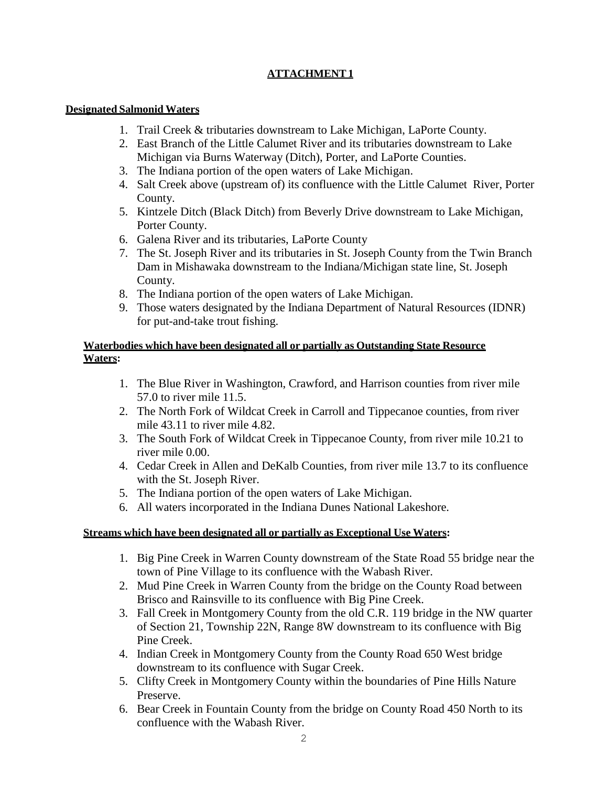#### **ATTACHMENT 1**

#### **Designated Salmonid Waters**

- 1. Trail Creek & tributaries downstream to Lake Michigan, LaPorte County.
- 2. East Branch of the Little Calumet River and its tributaries downstream to Lake Michigan via Burns Waterway (Ditch), Porter, and LaPorte Counties.
- 3. The Indiana portion of the open waters of Lake Michigan.
- 4. Salt Creek above (upstream of) its confluence with the Little Calumet River, Porter County.
- 5. Kintzele Ditch (Black Ditch) from Beverly Drive downstream to Lake Michigan, Porter County.
- 6. Galena River and its tributaries, LaPorte County
- 7. The St. Joseph River and its tributaries in St. Joseph County from the Twin Branch Dam in Mishawaka downstream to the Indiana/Michigan state line, St. Joseph County.
- 8. The Indiana portion of the open waters of Lake Michigan.
- 9. Those waters designated by the Indiana Department of Natural Resources (IDNR) for put-and-take trout fishing.

#### **Waterbodies which have been designated all or partially as Outstanding State Resource Waters:**

- 1. The Blue River in Washington, Crawford, and Harrison counties from river mile 57.0 to river mile 11.5.
- 2. The North Fork of Wildcat Creek in Carroll and Tippecanoe counties, from river mile 43.11 to river mile 4.82.
- 3. The South Fork of Wildcat Creek in Tippecanoe County, from river mile 10.21 to river mile 0.00.
- 4. Cedar Creek in Allen and DeKalb Counties, from river mile 13.7 to its confluence with the St. Joseph River.
- 5. The Indiana portion of the open waters of Lake Michigan.
- 6. All waters incorporated in the Indiana Dunes National Lakeshore.

#### **Streams which have been designated all or partially as Exceptional Use Waters:**

- 1. Big Pine Creek in Warren County downstream of the State Road 55 bridge near the town of Pine Village to its confluence with the Wabash River.
- 2. Mud Pine Creek in Warren County from the bridge on the County Road between Brisco and Rainsville to its confluence with Big Pine Creek.
- 3. Fall Creek in Montgomery County from the old C.R. 119 bridge in the NW quarter of Section 21, Township 22N, Range 8W downstream to its confluence with Big Pine Creek.
- 4. Indian Creek in Montgomery County from the County Road 650 West bridge downstream to its confluence with Sugar Creek.
- 5. Clifty Creek in Montgomery County within the boundaries of Pine Hills Nature Preserve.
- 6. Bear Creek in Fountain County from the bridge on County Road 450 North to its confluence with the Wabash River.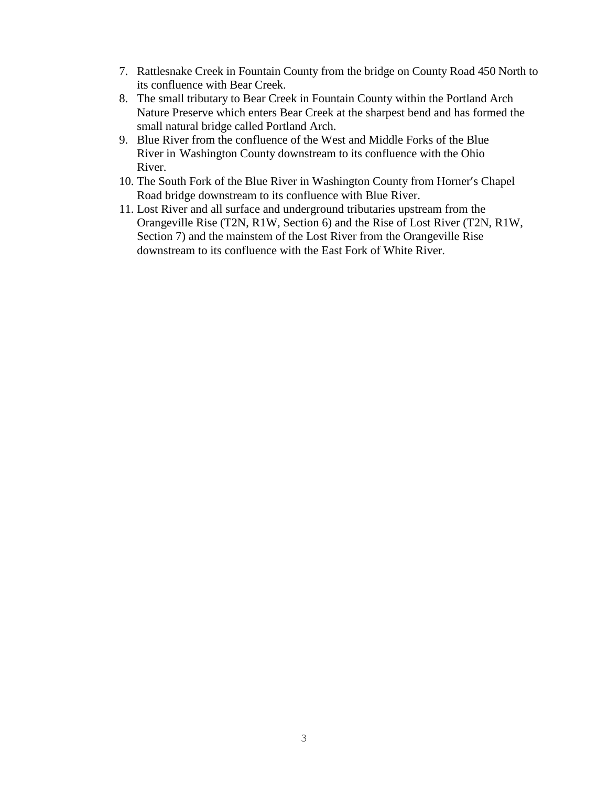- 7. Rattlesnake Creek in Fountain County from the bridge on County Road 450 North to its confluence with Bear Creek.
- 8. The small tributary to Bear Creek in Fountain County within the Portland Arch Nature Preserve which enters Bear Creek at the sharpest bend and has formed the small natural bridge called Portland Arch.
- 9. Blue River from the confluence of the West and Middle Forks of the Blue River in Washington County downstream to its confluence with the Ohio River.
- 10. The South Fork of the Blue River in Washington County from Horner's Chapel Road bridge downstream to its confluence with Blue River.
- 11. Lost River and all surface and underground tributaries upstream from the Orangeville Rise (T2N, R1W, Section 6) and the Rise of Lost River (T2N, R1W, Section 7) and the mainstem of the Lost River from the Orangeville Rise downstream to its confluence with the East Fork of White River.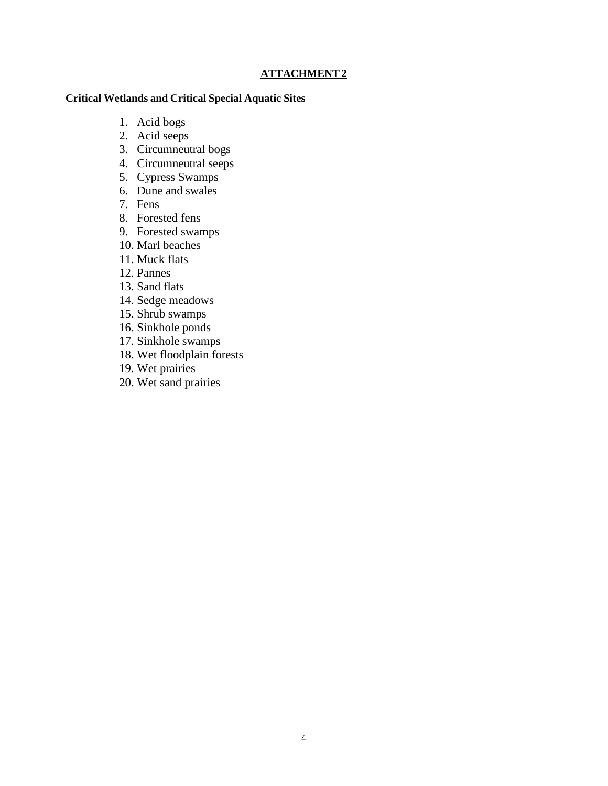#### **ATTACHMENT 2**

#### **Critical Wetlands and Critical Special Aquatic Sites**

- 1. Acid bogs
- 2. Acid seeps
- 3. Circumneutral bogs
- 4. Circumneutral seeps
- 5. Cypress Swamps
- 6. Dune and swales
- 7. Fens
- 8. Forested fens
- 9. Forested swamps
- 10. Marl beaches
- 11. Muck flats
- 12. Pannes
- 13. Sand flats
- 14. Sedge meadows
- 15. Shrub swamps
- 16. Sinkhole ponds
- 17. Sinkhole swamps
- 18. Wet floodplain forests
- 19. Wet prairies
- 20. Wet sand prairies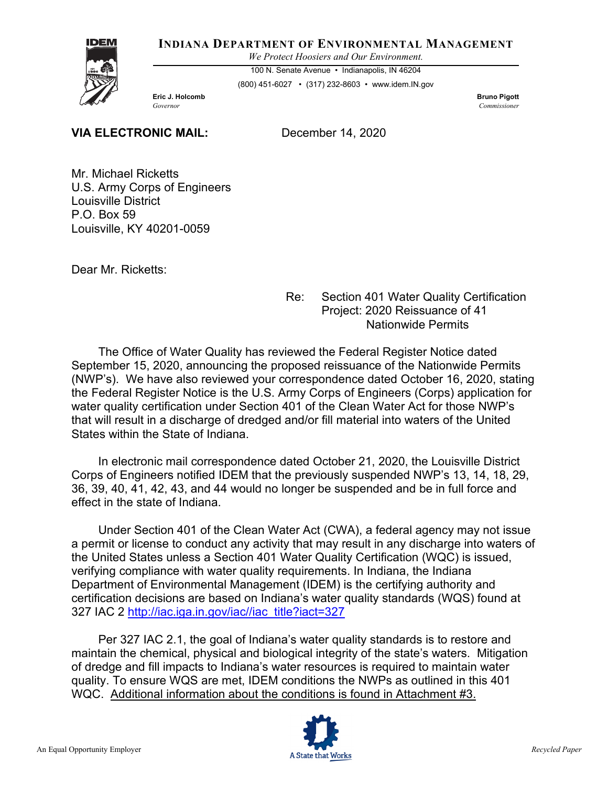#### **INDIANA DEPARTMENT OF ENVIRONMENTAL MANAGEMENT**

*We Protect Hoosiers and Our Environment.*

100 N. Senate Avenue • Indianapolis, IN 46204 (800) 451-6027 • (317) 232-8603 • www.idem.IN.gov

**Eric J. Holcomb** Bruno Pigott **Bruno Pigott** *Governor Commissioner* 

**VIA ELECTRONIC MAIL:** December 14, 2020

Mr. Michael Ricketts U.S. Army Corps of Engineers Louisville District P.O. Box 59 Louisville, KY 40201-0059

Dear Mr. Ricketts:

Re: Section 401 Water Quality Certification Project: 2020 Reissuance of 41 Nationwide Permits

The Office of Water Quality has reviewed the Federal Register Notice dated September 15, 2020, announcing the proposed reissuance of the Nationwide Permits (NWP's). We have also reviewed your correspondence dated October 16, 2020, stating the Federal Register Notice is the U.S. Army Corps of Engineers (Corps) application for water quality certification under Section 401 of the Clean Water Act for those NWP's that will result in a discharge of dredged and/or fill material into waters of the United States within the State of Indiana.

In electronic mail correspondence dated October 21, 2020, the Louisville District Corps of Engineers notified IDEM that the previously suspended NWP's 13, 14, 18, 29, 36, 39, 40, 41, 42, 43, and 44 would no longer be suspended and be in full force and effect in the state of Indiana.

Under Section 401 of the Clean Water Act (CWA), a federal agency may not issue a permit or license to conduct any activity that may result in any discharge into waters of the United States unless a Section 401 Water Quality Certification (WQC) is issued, verifying compliance with water quality requirements. In Indiana, the Indiana Department of Environmental Management (IDEM) is the certifying authority and certification decisions are based on Indiana's water quality standards (WQS) found at 327 IAC 2 [http://iac.iga.in.gov/iac//iac\\_title?iact=327](http://iac.iga.in.gov/iac/iac_title?iact=327)

Per 327 IAC 2.1, the goal of Indiana's water quality standards is to restore and maintain the chemical, physical and biological integrity of the state's waters. Mitigation of dredge and fill impacts to Indiana's water resources is required to maintain water quality. To ensure WQS are met, IDEM conditions the NWPs as outlined in this 401 WQC. Additional information about the conditions is found in Attachment #3.

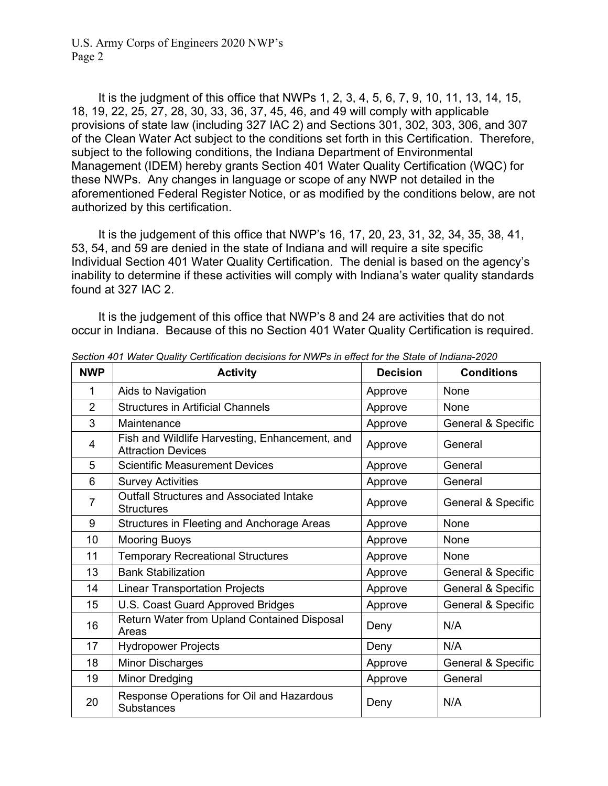It is the judgment of this office that NWPs 1, 2, 3, 4, 5, 6, 7, 9, 10, 11, 13, 14, 15, 18, 19, 22, 25, 27, 28, 30, 33, 36, 37, 45, 46, and 49 will comply with applicable provisions of state law (including 327 IAC 2) and Sections 301, 302, 303, 306, and 307 of the Clean Water Act subject to the conditions set forth in this Certification. Therefore, subject to the following conditions, the Indiana Department of Environmental Management (IDEM) hereby grants Section 401 Water Quality Certification (WQC) for these NWPs. Any changes in language or scope of any NWP not detailed in the aforementioned Federal Register Notice, or as modified by the conditions below, are not authorized by this certification.

It is the judgement of this office that NWP's 16, 17, 20, 23, 31, 32, 34, 35, 38, 41, 53, 54, and 59 are denied in the state of Indiana and will require a site specific Individual Section 401 Water Quality Certification. The denial is based on the agency's inability to determine if these activities will comply with Indiana's water quality standards found at 327 IAC 2.

It is the judgement of this office that NWP's 8 and 24 are activities that do not occur in Indiana. Because of this no Section 401 Water Quality Certification is required.

| <b>NWP</b>     | <b>Activity</b>                                                             | <b>Decision</b> | <b>Conditions</b>  |
|----------------|-----------------------------------------------------------------------------|-----------------|--------------------|
| 1              | Aids to Navigation                                                          | Approve         | None               |
| $\overline{2}$ | <b>Structures in Artificial Channels</b>                                    | Approve         | None               |
| 3              | Maintenance                                                                 | Approve         | General & Specific |
| 4              | Fish and Wildlife Harvesting, Enhancement, and<br><b>Attraction Devices</b> | Approve         | General            |
| 5              | <b>Scientific Measurement Devices</b>                                       | Approve         | General            |
| 6              | <b>Survey Activities</b>                                                    | Approve         | General            |
| $\overline{7}$ | <b>Outfall Structures and Associated Intake</b><br><b>Structures</b>        | Approve         | General & Specific |
| 9              | Structures in Fleeting and Anchorage Areas                                  | Approve         | None               |
| 10             | <b>Mooring Buoys</b>                                                        | Approve         | None               |
| 11             | <b>Temporary Recreational Structures</b>                                    | Approve         | None               |
| 13             | <b>Bank Stabilization</b>                                                   | Approve         | General & Specific |
| 14             | <b>Linear Transportation Projects</b>                                       | Approve         | General & Specific |
| 15             | U.S. Coast Guard Approved Bridges                                           | Approve         | General & Specific |
| 16             | Return Water from Upland Contained Disposal<br>Areas                        | Deny            | N/A                |
| 17             | <b>Hydropower Projects</b>                                                  | Deny            | N/A                |
| 18             | <b>Minor Discharges</b>                                                     | Approve         | General & Specific |
| 19             | <b>Minor Dredging</b>                                                       | Approve         | General            |
| 20             | Response Operations for Oil and Hazardous<br><b>Substances</b>              | Deny            | N/A                |

*Section 401 Water Quality Certification decisions for NWPs in effect for the State of Indiana-2020*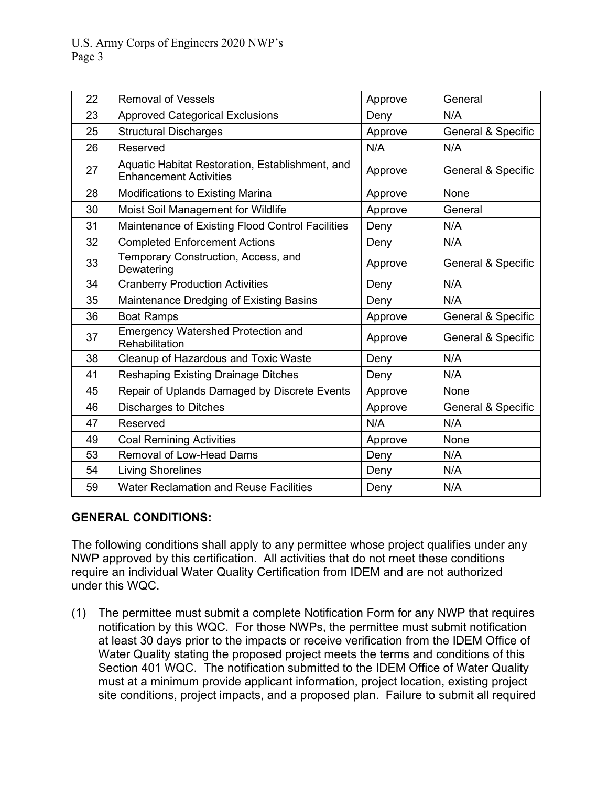| 22 | <b>Removal of Vessels</b>                                                        | Approve | General                       |
|----|----------------------------------------------------------------------------------|---------|-------------------------------|
| 23 | <b>Approved Categorical Exclusions</b>                                           | Deny    | N/A                           |
| 25 | <b>Structural Discharges</b>                                                     | Approve | General & Specific            |
| 26 | Reserved                                                                         | N/A     | N/A                           |
| 27 | Aquatic Habitat Restoration, Establishment, and<br><b>Enhancement Activities</b> | Approve | <b>General &amp; Specific</b> |
| 28 | <b>Modifications to Existing Marina</b>                                          | Approve | None                          |
| 30 | Moist Soil Management for Wildlife                                               | Approve | General                       |
| 31 | Maintenance of Existing Flood Control Facilities                                 | Deny    | N/A                           |
| 32 | <b>Completed Enforcement Actions</b>                                             | Deny    | N/A                           |
| 33 | Temporary Construction, Access, and<br>Dewatering                                | Approve | General & Specific            |
| 34 | <b>Cranberry Production Activities</b>                                           | Deny    | N/A                           |
| 35 | Maintenance Dredging of Existing Basins                                          | Deny    | N/A                           |
| 36 | <b>Boat Ramps</b>                                                                | Approve | General & Specific            |
| 37 | Emergency Watershed Protection and<br>Rehabilitation                             | Approve | <b>General &amp; Specific</b> |
| 38 | Cleanup of Hazardous and Toxic Waste                                             | Deny    | N/A                           |
| 41 | <b>Reshaping Existing Drainage Ditches</b>                                       | Deny    | N/A                           |
| 45 | Repair of Uplands Damaged by Discrete Events                                     | Approve | None                          |
| 46 | <b>Discharges to Ditches</b>                                                     | Approve | <b>General &amp; Specific</b> |
| 47 | Reserved                                                                         | N/A     | N/A                           |
| 49 | <b>Coal Remining Activities</b>                                                  | Approve | None                          |
| 53 | <b>Removal of Low-Head Dams</b>                                                  | Deny    | N/A                           |
| 54 | <b>Living Shorelines</b>                                                         | Deny    | N/A                           |
| 59 | <b>Water Reclamation and Reuse Facilities</b>                                    | Deny    | N/A                           |

#### **GENERAL CONDITIONS:**

The following conditions shall apply to any permittee whose project qualifies under any NWP approved by this certification. All activities that do not meet these conditions require an individual Water Quality Certification from IDEM and are not authorized under this WQC.

(1) The permittee must submit a complete Notification Form for any NWP that requires notification by this WQC. For those NWPs, the permittee must submit notification at least 30 days prior to the impacts or receive verification from the IDEM Office of Water Quality stating the proposed project meets the terms and conditions of this Section 401 WQC. The notification submitted to the IDEM Office of Water Quality must at a minimum provide applicant information, project location, existing project site conditions, project impacts, and a proposed plan. Failure to submit all required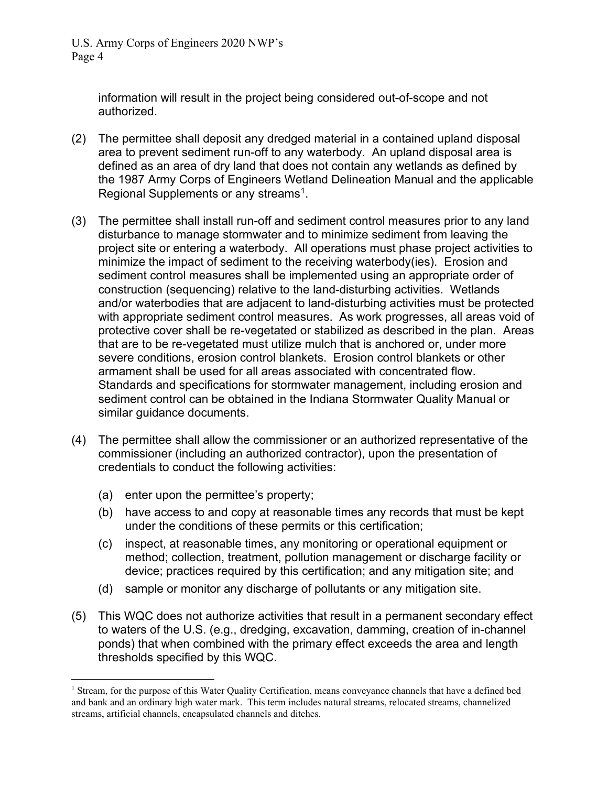> information will result in the project being considered out-of-scope and not authorized.

- (2) The permittee shall deposit any dredged material in a contained upland disposal area to prevent sediment run-off to any waterbody. An upland disposal area is defined as an area of dry land that does not contain any wetlands as defined by the 1987 Army Corps of Engineers Wetland Delineation Manual and the applicable Regional Supplements or any streams<sup>[1](#page-10-0)</sup>.
- (3) The permittee shall install run-off and sediment control measures prior to any land disturbance to manage stormwater and to minimize sediment from leaving the project site or entering a waterbody. All operations must phase project activities to minimize the impact of sediment to the receiving waterbody(ies). Erosion and sediment control measures shall be implemented using an appropriate order of construction (sequencing) relative to the land-disturbing activities. Wetlands and/or waterbodies that are adjacent to land-disturbing activities must be protected with appropriate sediment control measures. As work progresses, all areas void of protective cover shall be re-vegetated or stabilized as described in the plan. Areas that are to be re-vegetated must utilize mulch that is anchored or, under more severe conditions, erosion control blankets. Erosion control blankets or other armament shall be used for all areas associated with concentrated flow. Standards and specifications for stormwater management, including erosion and sediment control can be obtained in the Indiana Stormwater Quality Manual or similar guidance documents.
- (4) The permittee shall allow the commissioner or an authorized representative of the commissioner (including an authorized contractor), upon the presentation of credentials to conduct the following activities:
	- (a) enter upon the permittee's property;
	- (b) have access to and copy at reasonable times any records that must be kept under the conditions of these permits or this certification;
	- (c) inspect, at reasonable times, any monitoring or operational equipment or method; collection, treatment, pollution management or discharge facility or device; practices required by this certification; and any mitigation site; and
	- (d) sample or monitor any discharge of pollutants or any mitigation site.
- (5) This WQC does not authorize activities that result in a permanent secondary effect to waters of the U.S. (e.g., dredging, excavation, damming, creation of in-channel ponds) that when combined with the primary effect exceeds the area and length thresholds specified by this WQC.

<span id="page-10-0"></span><sup>&</sup>lt;sup>1</sup> Stream, for the purpose of this Water Quality Certification, means conveyance channels that have a defined bed and bank and an ordinary high water mark. This term includes natural streams, relocated streams, channelized streams, artificial channels, encapsulated channels and ditches.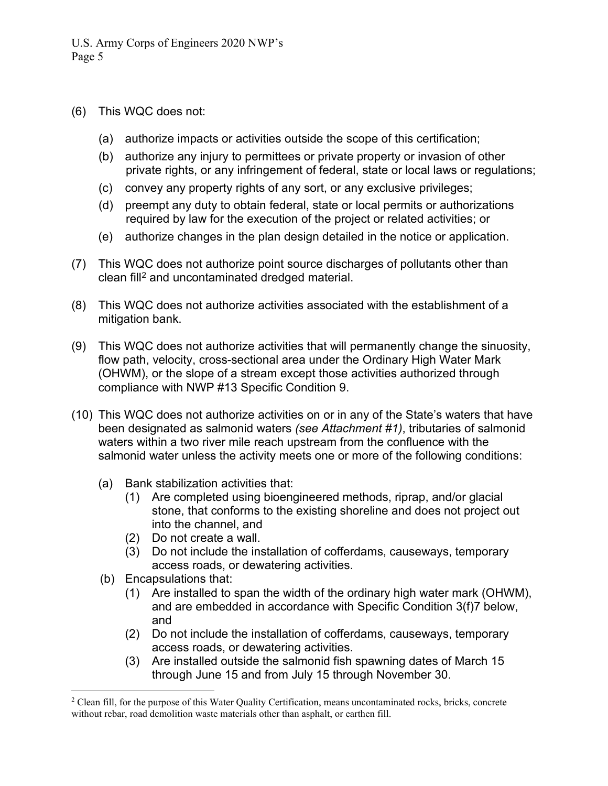- (6) This WQC does not:
	- (a) authorize impacts or activities outside the scope of this certification;
	- (b) authorize any injury to permittees or private property or invasion of other private rights, or any infringement of federal, state or local laws or regulations;
	- (c) convey any property rights of any sort, or any exclusive privileges;
	- (d) preempt any duty to obtain federal, state or local permits or authorizations required by law for the execution of the project or related activities; or
	- (e) authorize changes in the plan design detailed in the notice or application.
- (7) This WQC does not authorize point source discharges of pollutants other than clean fill<sup>[2](#page-11-0)</sup> and uncontaminated dredged material.
- (8) This WQC does not authorize activities associated with the establishment of a mitigation bank.
- (9) This WQC does not authorize activities that will permanently change the sinuosity, flow path, velocity, cross-sectional area under the Ordinary High Water Mark (OHWM), or the slope of a stream except those activities authorized through compliance with NWP #13 Specific Condition 9.
- (10) This WQC does not authorize activities on or in any of the State's waters that have been designated as salmonid waters *(see Attachment #1)*, tributaries of salmonid waters within a two river mile reach upstream from the confluence with the salmonid water unless the activity meets one or more of the following conditions:
	- (a) Bank stabilization activities that:
		- (1) Are completed using bioengineered methods, riprap, and/or glacial stone, that conforms to the existing shoreline and does not project out into the channel, and
		- (2) Do not create a wall.
		- (3) Do not include the installation of cofferdams, causeways, temporary access roads, or dewatering activities.
	- (b) Encapsulations that:
		- (1) Are installed to span the width of the ordinary high water mark (OHWM), and are embedded in accordance with Specific Condition 3(f)7 below, and
		- (2) Do not include the installation of cofferdams, causeways, temporary access roads, or dewatering activities.
		- (3) Are installed outside the salmonid fish spawning dates of March 15 through June 15 and from July 15 through November 30.

<span id="page-11-0"></span><sup>&</sup>lt;sup>2</sup> Clean fill, for the purpose of this Water Quality Certification, means uncontaminated rocks, bricks, concrete without rebar, road demolition waste materials other than asphalt, or earthen fill.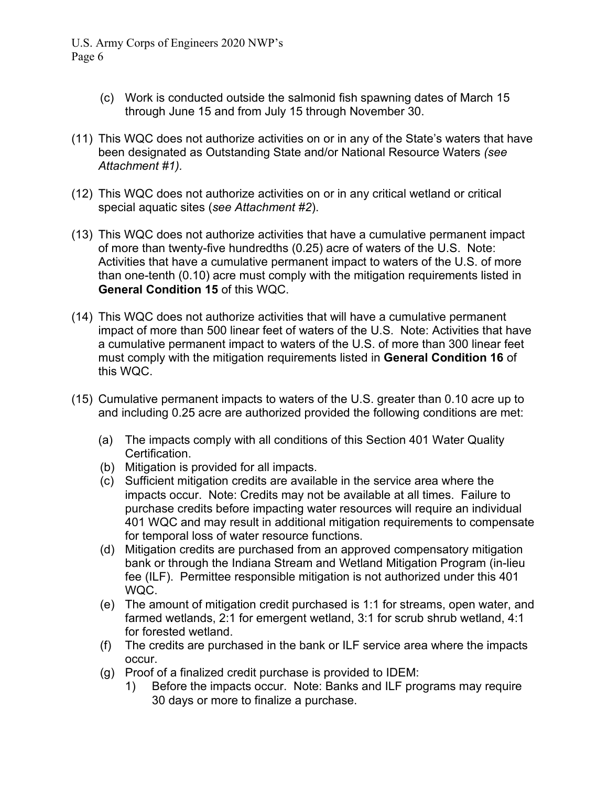- (c) Work is conducted outside the salmonid fish spawning dates of March 15 through June 15 and from July 15 through November 30.
- (11) This WQC does not authorize activities on or in any of the State's waters that have been designated as Outstanding State and/or National Resource Waters *(see Attachment #1).*
- (12) This WQC does not authorize activities on or in any critical wetland or critical special aquatic sites (*see Attachment #2*).
- (13) This WQC does not authorize activities that have a cumulative permanent impact of more than twenty-five hundredths (0.25) acre of waters of the U.S. Note: Activities that have a cumulative permanent impact to waters of the U.S. of more than one-tenth (0.10) acre must comply with the mitigation requirements listed in **General Condition 15** of this WQC.
- (14) This WQC does not authorize activities that will have a cumulative permanent impact of more than 500 linear feet of waters of the U.S. Note: Activities that have a cumulative permanent impact to waters of the U.S. of more than 300 linear feet must comply with the mitigation requirements listed in **General Condition 16** of this WQC.
- (15) Cumulative permanent impacts to waters of the U.S. greater than 0.10 acre up to and including 0.25 acre are authorized provided the following conditions are met:
	- (a) The impacts comply with all conditions of this Section 401 Water Quality Certification.
	- (b) Mitigation is provided for all impacts.
	- (c) Sufficient mitigation credits are available in the service area where the impacts occur. Note: Credits may not be available at all times. Failure to purchase credits before impacting water resources will require an individual 401 WQC and may result in additional mitigation requirements to compensate for temporal loss of water resource functions.
	- (d) Mitigation credits are purchased from an approved compensatory mitigation bank or through the Indiana Stream and Wetland Mitigation Program (in-lieu fee (ILF). Permittee responsible mitigation is not authorized under this 401 WQC.
	- (e) The amount of mitigation credit purchased is 1:1 for streams, open water, and farmed wetlands, 2:1 for emergent wetland, 3:1 for scrub shrub wetland, 4:1 for forested wetland.
	- (f) The credits are purchased in the bank or ILF service area where the impacts occur.
	- (g) Proof of a finalized credit purchase is provided to IDEM:
		- 1) Before the impacts occur. Note: Banks and ILF programs may require 30 days or more to finalize a purchase.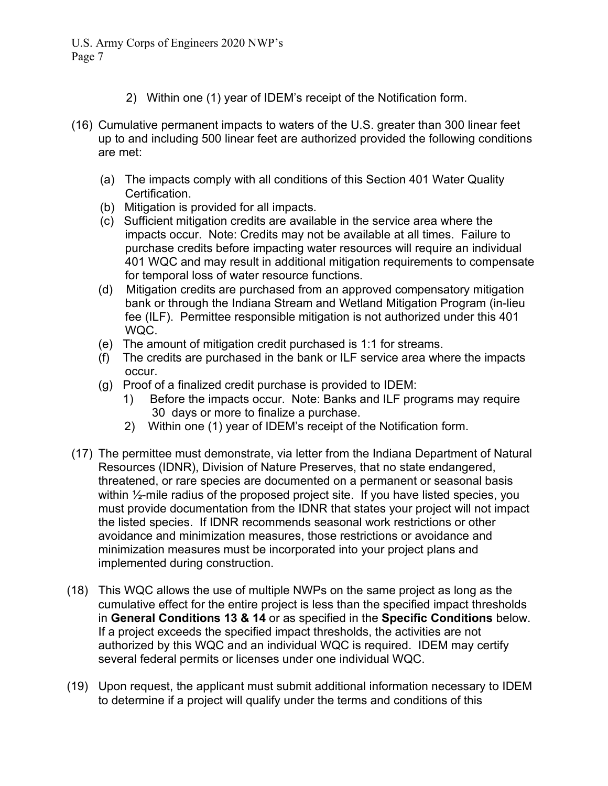- 2) Within one (1) year of IDEM's receipt of the Notification form.
- (16) Cumulative permanent impacts to waters of the U.S. greater than 300 linear feet up to and including 500 linear feet are authorized provided the following conditions are met:
	- (a) The impacts comply with all conditions of this Section 401 Water Quality Certification.
	- (b) Mitigation is provided for all impacts.
	- (c) Sufficient mitigation credits are available in the service area where the impacts occur. Note: Credits may not be available at all times. Failure to purchase credits before impacting water resources will require an individual 401 WQC and may result in additional mitigation requirements to compensate for temporal loss of water resource functions.
	- (d) Mitigation credits are purchased from an approved compensatory mitigation bank or through the Indiana Stream and Wetland Mitigation Program (in-lieu fee (ILF). Permittee responsible mitigation is not authorized under this 401 WQC.
	- (e) The amount of mitigation credit purchased is 1:1 for streams.
	- (f) The credits are purchased in the bank or ILF service area where the impacts occur.
	- (g) Proof of a finalized credit purchase is provided to IDEM:
		- 1) Before the impacts occur. Note: Banks and ILF programs may require 30 days or more to finalize a purchase.
		- 2) Within one (1) year of IDEM's receipt of the Notification form.
- (17) The permittee must demonstrate, via letter from the Indiana Department of Natural Resources (IDNR), Division of Nature Preserves, that no state endangered, threatened, or rare species are documented on a permanent or seasonal basis within  $\frac{1}{2}$ -mile radius of the proposed project site. If you have listed species, you must provide documentation from the IDNR that states your project will not impact the listed species. If IDNR recommends seasonal work restrictions or other avoidance and minimization measures, those restrictions or avoidance and minimization measures must be incorporated into your project plans and implemented during construction.
- (18) This WQC allows the use of multiple NWPs on the same project as long as the cumulative effect for the entire project is less than the specified impact thresholds in **General Conditions 13 & 14** or as specified in the **Specific Conditions** below. If a project exceeds the specified impact thresholds, the activities are not authorized by this WQC and an individual WQC is required. IDEM may certify several federal permits or licenses under one individual WQC.
- (19) Upon request, the applicant must submit additional information necessary to IDEM to determine if a project will qualify under the terms and conditions of this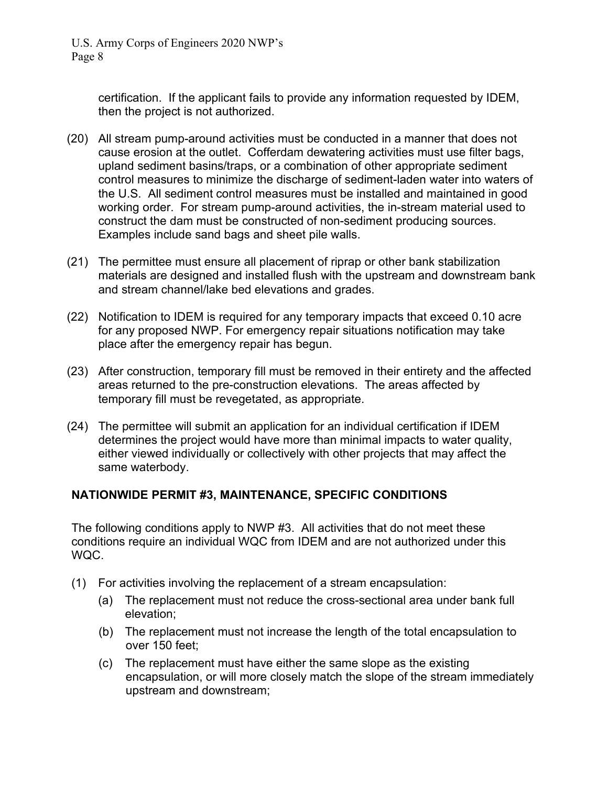> certification. If the applicant fails to provide any information requested by IDEM, then the project is not authorized.

- (20) All stream pump-around activities must be conducted in a manner that does not cause erosion at the outlet. Cofferdam dewatering activities must use filter bags, upland sediment basins/traps, or a combination of other appropriate sediment control measures to minimize the discharge of sediment-laden water into waters of the U.S. All sediment control measures must be installed and maintained in good working order. For stream pump-around activities, the in-stream material used to construct the dam must be constructed of non-sediment producing sources. Examples include sand bags and sheet pile walls.
- (21) The permittee must ensure all placement of riprap or other bank stabilization materials are designed and installed flush with the upstream and downstream bank and stream channel/lake bed elevations and grades.
- (22) Notification to IDEM is required for any temporary impacts that exceed 0.10 acre for any proposed NWP. For emergency repair situations notification may take place after the emergency repair has begun.
- (23) After construction, temporary fill must be removed in their entirety and the affected areas returned to the pre-construction elevations. The areas affected by temporary fill must be revegetated, as appropriate.
- (24) The permittee will submit an application for an individual certification if IDEM determines the project would have more than minimal impacts to water quality, either viewed individually or collectively with other projects that may affect the same waterbody.

#### **NATIONWIDE PERMIT #3, MAINTENANCE, SPECIFIC CONDITIONS**

The following conditions apply to NWP #3. All activities that do not meet these conditions require an individual WQC from IDEM and are not authorized under this WQC.

- (1) For activities involving the replacement of a stream encapsulation:
	- (a) The replacement must not reduce the cross-sectional area under bank full elevation;
	- (b) The replacement must not increase the length of the total encapsulation to over 150 feet;
	- (c) The replacement must have either the same slope as the existing encapsulation, or will more closely match the slope of the stream immediately upstream and downstream;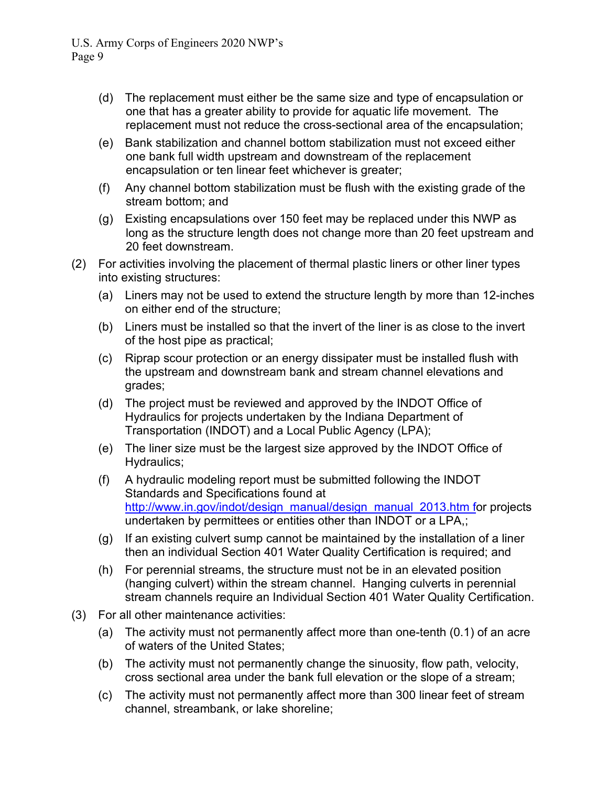- (d) The replacement must either be the same size and type of encapsulation or one that has a greater ability to provide for aquatic life movement. The replacement must not reduce the cross-sectional area of the encapsulation;
- (e) Bank stabilization and channel bottom stabilization must not exceed either one bank full width upstream and downstream of the replacement encapsulation or ten linear feet whichever is greater;
- (f) Any channel bottom stabilization must be flush with the existing grade of the stream bottom; and
- (g) Existing encapsulations over 150 feet may be replaced under this NWP as long as the structure length does not change more than 20 feet upstream and 20 feet downstream.
- (2) For activities involving the placement of thermal plastic liners or other liner types into existing structures:
	- (a) Liners may not be used to extend the structure length by more than 12-inches on either end of the structure;
	- (b) Liners must be installed so that the invert of the liner is as close to the invert of the host pipe as practical;
	- (c) Riprap scour protection or an energy dissipater must be installed flush with the upstream and downstream bank and stream channel elevations and grades;
	- (d) The project must be reviewed and approved by the INDOT Office of Hydraulics for projects undertaken by the Indiana Department of Transportation (INDOT) and a Local Public Agency (LPA);
	- (e) The liner size must be the largest size approved by the INDOT Office of Hydraulics;
	- (f) A hydraulic modeling report must be submitted following the INDOT Standards and Specifications found at [http://www.in.gov/indot/design\\_manual/design\\_manual\\_2013.htm](http://www.in.gov/indot/design_manual/design_manual_2013.htm) for projects undertaken by permittees or entities other than INDOT or a LPA,;
	- (g) If an existing culvert sump cannot be maintained by the installation of a liner then an individual Section 401 Water Quality Certification is required; and
	- (h) For perennial streams, the structure must not be in an elevated position (hanging culvert) within the stream channel. Hanging culverts in perennial stream channels require an Individual Section 401 Water Quality Certification.
- (3) For all other maintenance activities:
	- (a) The activity must not permanently affect more than one-tenth (0.1) of an acre of waters of the United States;
	- (b) The activity must not permanently change the sinuosity, flow path, velocity, cross sectional area under the bank full elevation or the slope of a stream;
	- (c) The activity must not permanently affect more than 300 linear feet of stream channel, streambank, or lake shoreline;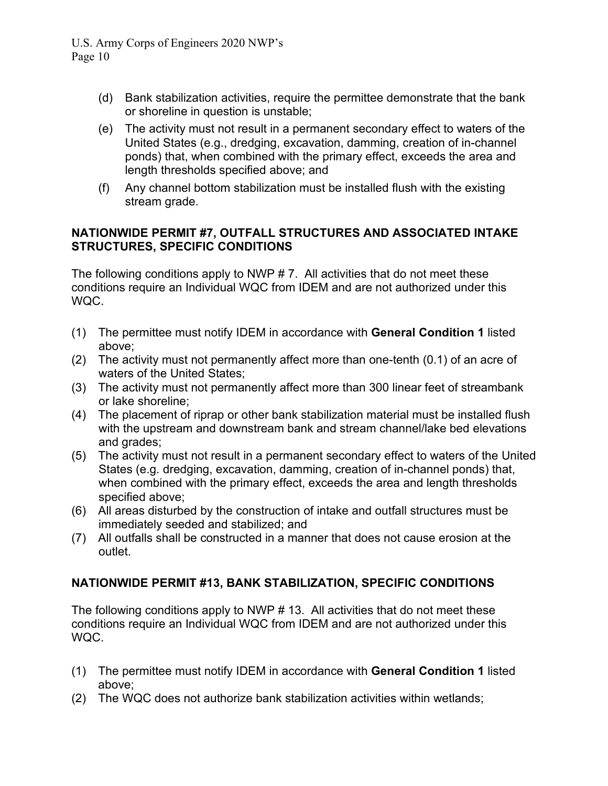- (d) Bank stabilization activities, require the permittee demonstrate that the bank or shoreline in question is unstable;
- (e) The activity must not result in a permanent secondary effect to waters of the United States (e.g., dredging, excavation, damming, creation of in-channel ponds) that, when combined with the primary effect, exceeds the area and length thresholds specified above; and
- (f) Any channel bottom stabilization must be installed flush with the existing stream grade.

### **NATIONWIDE PERMIT #7, OUTFALL STRUCTURES AND ASSOCIATED INTAKE STRUCTURES, SPECIFIC CONDITIONS**

The following conditions apply to NWP  $# 7$ . All activities that do not meet these conditions require an Individual WQC from IDEM and are not authorized under this WQC.

- (1) The permittee must notify IDEM in accordance with **General Condition 1** listed above;
- (2) The activity must not permanently affect more than one-tenth (0.1) of an acre of waters of the United States;
- (3) The activity must not permanently affect more than 300 linear feet of streambank or lake shoreline;
- (4) The placement of riprap or other bank stabilization material must be installed flush with the upstream and downstream bank and stream channel/lake bed elevations and grades;
- (5) The activity must not result in a permanent secondary effect to waters of the United States (e.g. dredging, excavation, damming, creation of in-channel ponds) that, when combined with the primary effect, exceeds the area and length thresholds specified above;
- (6) All areas disturbed by the construction of intake and outfall structures must be immediately seeded and stabilized; and
- (7) All outfalls shall be constructed in a manner that does not cause erosion at the outlet.

# **NATIONWIDE PERMIT #13, BANK STABILIZATION, SPECIFIC CONDITIONS**

The following conditions apply to NWP # 13. All activities that do not meet these conditions require an Individual WQC from IDEM and are not authorized under this WQC.

- (1) The permittee must notify IDEM in accordance with **General Condition 1** listed above;
- (2) The WQC does not authorize bank stabilization activities within wetlands;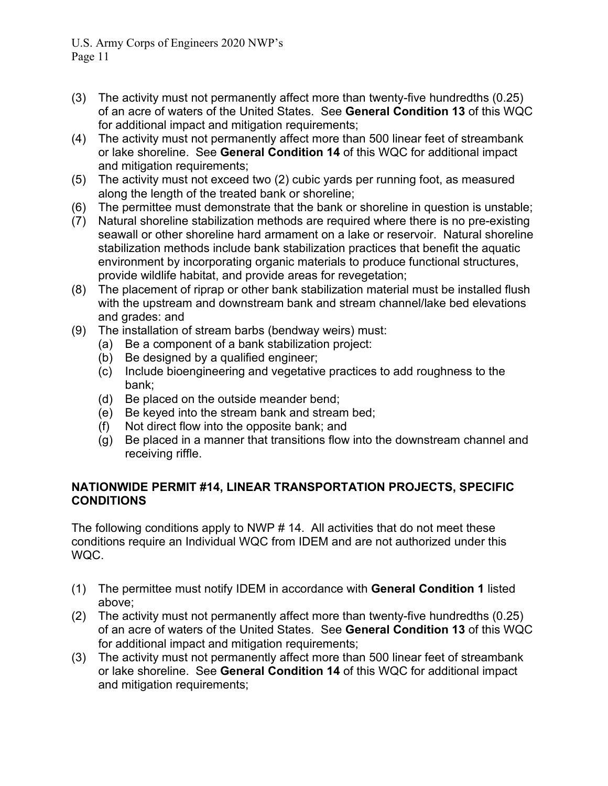- Page 11
- (3) The activity must not permanently affect more than twenty-five hundredths (0.25) of an acre of waters of the United States. See **General Condition 13** of this WQC for additional impact and mitigation requirements;
- (4) The activity must not permanently affect more than 500 linear feet of streambank or lake shoreline. See **General Condition 14** of this WQC for additional impact and mitigation requirements;
- (5) The activity must not exceed two (2) cubic yards per running foot, as measured along the length of the treated bank or shoreline;
- (6) The permittee must demonstrate that the bank or shoreline in question is unstable;
- (7) Natural shoreline stabilization methods are required where there is no pre-existing seawall or other shoreline hard armament on a lake or reservoir. Natural shoreline stabilization methods include bank stabilization practices that benefit the aquatic environment by incorporating organic materials to produce functional structures, provide wildlife habitat, and provide areas for revegetation;
- (8) The placement of riprap or other bank stabilization material must be installed flush with the upstream and downstream bank and stream channel/lake bed elevations and grades: and
- (9) The installation of stream barbs (bendway weirs) must:
	- (a) Be a component of a bank stabilization project:
	- (b) Be designed by a qualified engineer;
	- (c) Include bioengineering and vegetative practices to add roughness to the bank;
	- (d) Be placed on the outside meander bend;
	- (e) Be keyed into the stream bank and stream bed;
	- (f) Not direct flow into the opposite bank; and
	- (g) Be placed in a manner that transitions flow into the downstream channel and receiving riffle.

# **NATIONWIDE PERMIT #14, LINEAR TRANSPORTATION PROJECTS, SPECIFIC CONDITIONS**

The following conditions apply to NWP # 14. All activities that do not meet these conditions require an Individual WQC from IDEM and are not authorized under this WQC.

- (1) The permittee must notify IDEM in accordance with **General Condition 1** listed above;
- (2) The activity must not permanently affect more than twenty-five hundredths (0.25) of an acre of waters of the United States. See **General Condition 13** of this WQC for additional impact and mitigation requirements;
- (3) The activity must not permanently affect more than 500 linear feet of streambank or lake shoreline. See **General Condition 14** of this WQC for additional impact and mitigation requirements;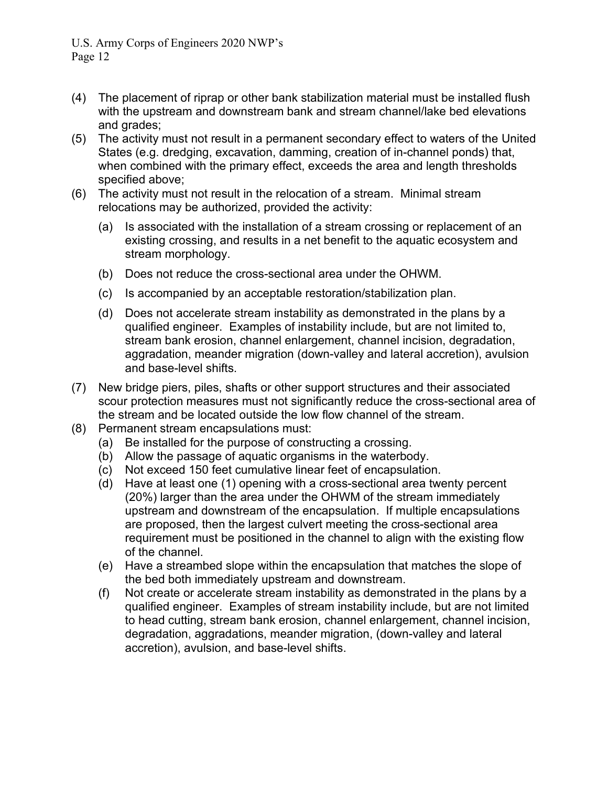- (4) The placement of riprap or other bank stabilization material must be installed flush with the upstream and downstream bank and stream channel/lake bed elevations and grades;
- (5) The activity must not result in a permanent secondary effect to waters of the United States (e.g. dredging, excavation, damming, creation of in-channel ponds) that, when combined with the primary effect, exceeds the area and length thresholds specified above;
- (6) The activity must not result in the relocation of a stream. Minimal stream relocations may be authorized, provided the activity:
	- (a) Is associated with the installation of a stream crossing or replacement of an existing crossing, and results in a net benefit to the aquatic ecosystem and stream morphology.
	- (b) Does not reduce the cross-sectional area under the OHWM.
	- (c) Is accompanied by an acceptable restoration/stabilization plan.
	- (d) Does not accelerate stream instability as demonstrated in the plans by a qualified engineer. Examples of instability include, but are not limited to, stream bank erosion, channel enlargement, channel incision, degradation, aggradation, meander migration (down-valley and lateral accretion), avulsion and base-level shifts.
- (7) New bridge piers, piles, shafts or other support structures and their associated scour protection measures must not significantly reduce the cross-sectional area of the stream and be located outside the low flow channel of the stream.
- (8) Permanent stream encapsulations must:
	- (a) Be installed for the purpose of constructing a crossing.
	- (b) Allow the passage of aquatic organisms in the waterbody.
	- (c) Not exceed 150 feet cumulative linear feet of encapsulation.
	- (d) Have at least one (1) opening with a cross-sectional area twenty percent (20%) larger than the area under the OHWM of the stream immediately upstream and downstream of the encapsulation. If multiple encapsulations are proposed, then the largest culvert meeting the cross-sectional area requirement must be positioned in the channel to align with the existing flow of the channel.
	- (e) Have a streambed slope within the encapsulation that matches the slope of the bed both immediately upstream and downstream.
	- (f) Not create or accelerate stream instability as demonstrated in the plans by a qualified engineer. Examples of stream instability include, but are not limited to head cutting, stream bank erosion, channel enlargement, channel incision, degradation, aggradations, meander migration, (down-valley and lateral accretion), avulsion, and base-level shifts.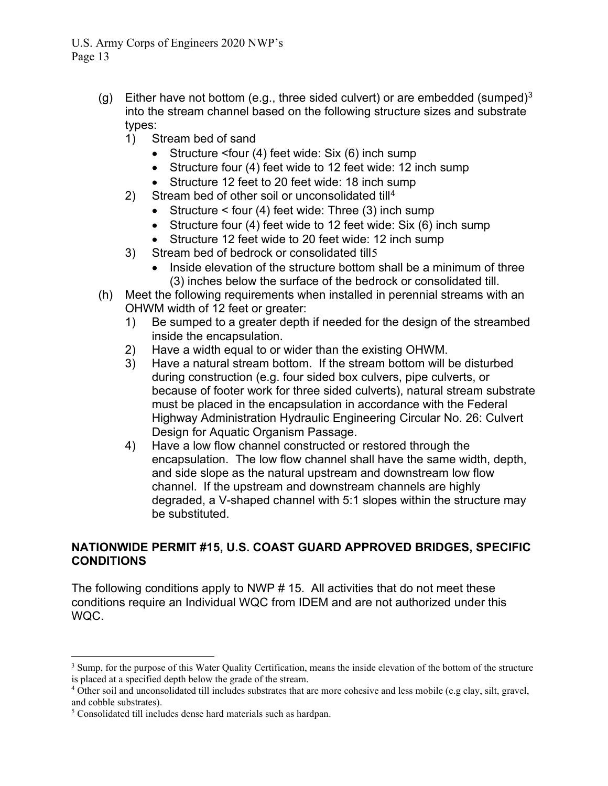- (g) Either have not bottom (e.g., three sided culvert) or are embedded (sumped)<sup>[3](#page-19-0)</sup> into the stream channel based on the following structure sizes and substrate types:
	- 1) Stream bed of sand
		- Structure <four (4) feet wide: Six (6) inch sump
		- Structure four (4) feet wide to 12 feet wide: 12 inch sump
		- Structure 12 feet to 20 feet wide: 18 inch sump
	- 2) Stream bed of other soil or unconsolidated till<sup>[4](#page-19-1)</sup>
		- Structure < four (4) feet wide: Three (3) inch sump
		- Structure four (4) feet wide to 12 feet wide: Six (6) inch sump
		- Structure 12 feet wide to 20 feet wide: 12 inch sump
	- 3) Stream bed of bedrock or consolidated till[5](#page-19-2)
		- Inside elevation of the structure bottom shall be a minimum of three (3) inches below the surface of the bedrock or consolidated till.
- (h) Meet the following requirements when installed in perennial streams with an OHWM width of 12 feet or greater:
	- 1) Be sumped to a greater depth if needed for the design of the streambed inside the encapsulation.
	- 2) Have a width equal to or wider than the existing OHWM.
	- 3) Have a natural stream bottom. If the stream bottom will be disturbed during construction (e.g. four sided box culvers, pipe culverts, or because of footer work for three sided culverts), natural stream substrate must be placed in the encapsulation in accordance with the Federal Highway Administration Hydraulic Engineering Circular No. 26: Culvert Design for Aquatic Organism Passage.
	- 4) Have a low flow channel constructed or restored through the encapsulation. The low flow channel shall have the same width, depth, and side slope as the natural upstream and downstream low flow channel. If the upstream and downstream channels are highly degraded, a V-shaped channel with 5:1 slopes within the structure may be substituted.

### **NATIONWIDE PERMIT #15, U.S. COAST GUARD APPROVED BRIDGES, SPECIFIC CONDITIONS**

The following conditions apply to NWP # 15. All activities that do not meet these conditions require an Individual WQC from IDEM and are not authorized under this WQC.

<span id="page-19-0"></span><sup>&</sup>lt;sup>3</sup> Sump, for the purpose of this Water Quality Certification, means the inside elevation of the bottom of the structure is placed at a specified depth below the grade of the stream.

<span id="page-19-1"></span><sup>4</sup> Other soil and unconsolidated till includes substrates that are more cohesive and less mobile (e.g clay, silt, gravel, and cobble substrates).

<span id="page-19-2"></span><sup>5</sup> Consolidated till includes dense hard materials such as hardpan.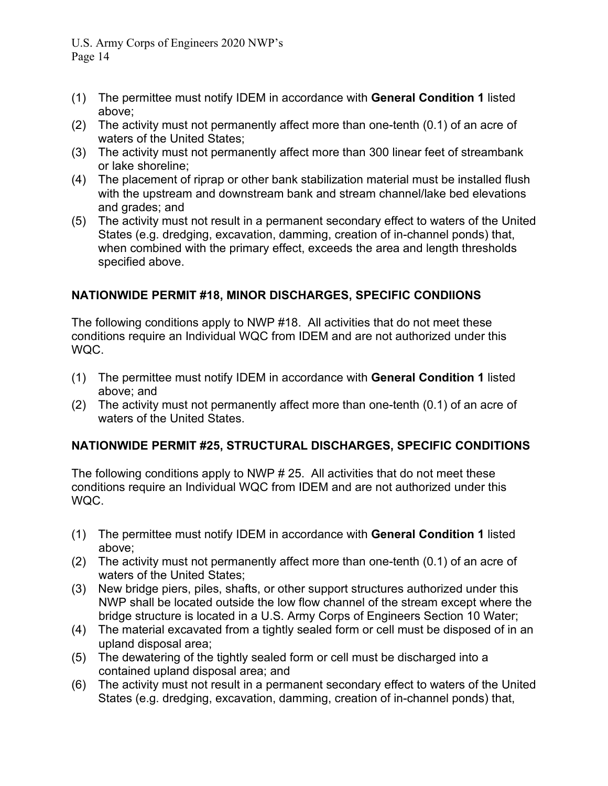- (1) The permittee must notify IDEM in accordance with **General Condition 1** listed above;
- (2) The activity must not permanently affect more than one-tenth (0.1) of an acre of waters of the United States;
- (3) The activity must not permanently affect more than 300 linear feet of streambank or lake shoreline;
- (4) The placement of riprap or other bank stabilization material must be installed flush with the upstream and downstream bank and stream channel/lake bed elevations and grades; and
- (5) The activity must not result in a permanent secondary effect to waters of the United States (e.g. dredging, excavation, damming, creation of in-channel ponds) that, when combined with the primary effect, exceeds the area and length thresholds specified above.

# **NATIONWIDE PERMIT #18, MINOR DISCHARGES, SPECIFIC CONDIIONS**

The following conditions apply to NWP #18. All activities that do not meet these conditions require an Individual WQC from IDEM and are not authorized under this WQC.

- (1) The permittee must notify IDEM in accordance with **General Condition 1** listed above; and
- (2) The activity must not permanently affect more than one-tenth (0.1) of an acre of waters of the United States.

# **NATIONWIDE PERMIT #25, STRUCTURAL DISCHARGES, SPECIFIC CONDITIONS**

The following conditions apply to NWP # 25. All activities that do not meet these conditions require an Individual WQC from IDEM and are not authorized under this WQC.

- (1) The permittee must notify IDEM in accordance with **General Condition 1** listed above;
- (2) The activity must not permanently affect more than one-tenth (0.1) of an acre of waters of the United States;
- (3) New bridge piers, piles, shafts, or other support structures authorized under this NWP shall be located outside the low flow channel of the stream except where the bridge structure is located in a U.S. Army Corps of Engineers Section 10 Water;
- (4) The material excavated from a tightly sealed form or cell must be disposed of in an upland disposal area;
- (5) The dewatering of the tightly sealed form or cell must be discharged into a contained upland disposal area; and
- (6) The activity must not result in a permanent secondary effect to waters of the United States (e.g. dredging, excavation, damming, creation of in-channel ponds) that,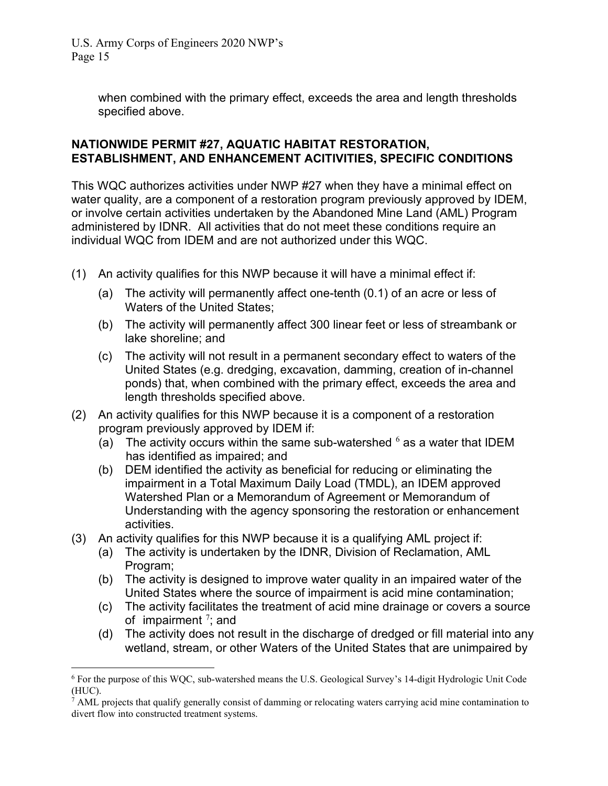> when combined with the primary effect, exceeds the area and length thresholds specified above.

#### **NATIONWIDE PERMIT #27, AQUATIC HABITAT RESTORATION, ESTABLISHMENT, AND ENHANCEMENT ACITIVITIES, SPECIFIC CONDITIONS**

This WQC authorizes activities under NWP #27 when they have a minimal effect on water quality, are a component of a restoration program previously approved by IDEM, or involve certain activities undertaken by the Abandoned Mine Land (AML) Program administered by IDNR. All activities that do not meet these conditions require an individual WQC from IDEM and are not authorized under this WQC.

- (1) An activity qualifies for this NWP because it will have a minimal effect if:
	- (a) The activity will permanently affect one-tenth (0.1) of an acre or less of Waters of the United States;
	- (b) The activity will permanently affect 300 linear feet or less of streambank or lake shoreline; and
	- (c) The activity will not result in a permanent secondary effect to waters of the United States (e.g. dredging, excavation, damming, creation of in-channel ponds) that, when combined with the primary effect, exceeds the area and length thresholds specified above.
- (2) An activity qualifies for this NWP because it is a component of a restoration program previously approved by IDEM if:
	- (a) The activity occurs within the same sub-watershed  $6$  as a water that IDEM has identified as impaired; and
	- (b) DEM identified the activity as beneficial for reducing or eliminating the impairment in a Total Maximum Daily Load (TMDL), an IDEM approved Watershed Plan or a Memorandum of Agreement or Memorandum of Understanding with the agency sponsoring the restoration or enhancement activities.
- (3) An activity qualifies for this NWP because it is a qualifying AML project if:
	- (a) The activity is undertaken by the IDNR, Division of Reclamation, AML Program;
	- (b) The activity is designed to improve water quality in an impaired water of the United States where the source of impairment is acid mine contamination;
	- (c) The activity facilitates the treatment of acid mine drainage or covers a source of impairment  $\frac{7}{7}$  $\frac{7}{7}$  $\frac{7}{7}$ ; and
	- (d) The activity does not result in the discharge of dredged or fill material into any wetland, stream, or other Waters of the United States that are unimpaired by

<span id="page-21-0"></span><sup>6</sup> For the purpose of this WQC, sub-watershed means the U.S. Geological Survey's 14-digit Hydrologic Unit Code (HUC).

<span id="page-21-1"></span> $^7$  AML projects that qualify generally consist of damming or relocating waters carrying acid mine contamination to divert flow into constructed treatment systems.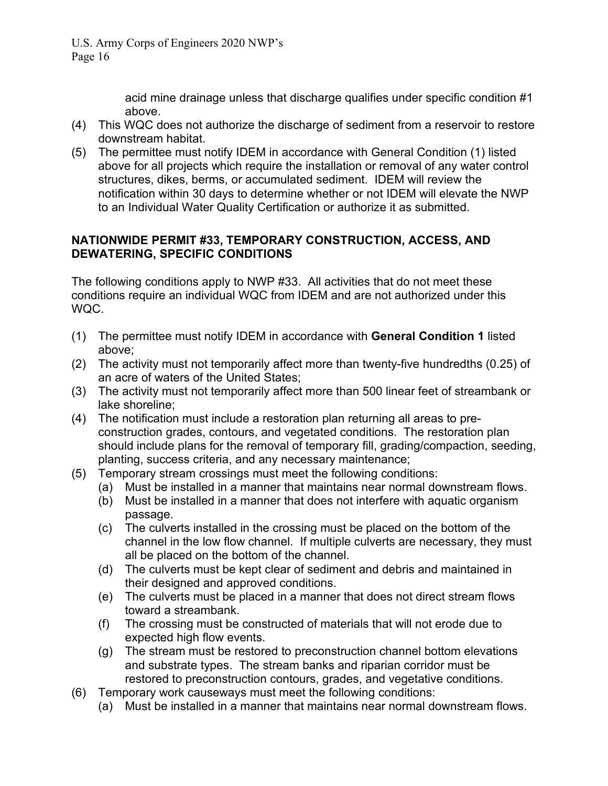acid mine drainage unless that discharge qualifies under specific condition #1 above.

- (4) This WQC does not authorize the discharge of sediment from a reservoir to restore downstream habitat.
- (5) The permittee must notify IDEM in accordance with General Condition (1) listed above for all projects which require the installation or removal of any water control structures, dikes, berms, or accumulated sediment. IDEM will review the notification within 30 days to determine whether or not IDEM will elevate the NWP to an Individual Water Quality Certification or authorize it as submitted.

# **NATIONWIDE PERMIT #33, TEMPORARY CONSTRUCTION, ACCESS, AND DEWATERING, SPECIFIC CONDITIONS**

The following conditions apply to NWP #33. All activities that do not meet these conditions require an individual WQC from IDEM and are not authorized under this WQC.

- (1) The permittee must notify IDEM in accordance with **General Condition 1** listed above;
- (2) The activity must not temporarily affect more than twenty-five hundredths (0.25) of an acre of waters of the United States;
- (3) The activity must not temporarily affect more than 500 linear feet of streambank or lake shoreline;
- (4) The notification must include a restoration plan returning all areas to preconstruction grades, contours, and vegetated conditions. The restoration plan should include plans for the removal of temporary fill, grading/compaction, seeding, planting, success criteria, and any necessary maintenance;
- (5) Temporary stream crossings must meet the following conditions:
	- (a) Must be installed in a manner that maintains near normal downstream flows.
	- (b) Must be installed in a manner that does not interfere with aquatic organism passage.
	- (c) The culverts installed in the crossing must be placed on the bottom of the channel in the low flow channel. If multiple culverts are necessary, they must all be placed on the bottom of the channel.
	- (d) The culverts must be kept clear of sediment and debris and maintained in their designed and approved conditions.
	- (e) The culverts must be placed in a manner that does not direct stream flows toward a streambank.
	- (f) The crossing must be constructed of materials that will not erode due to expected high flow events.
	- (g) The stream must be restored to preconstruction channel bottom elevations and substrate types. The stream banks and riparian corridor must be restored to preconstruction contours, grades, and vegetative conditions.
- (6) Temporary work causeways must meet the following conditions:
	- (a) Must be installed in a manner that maintains near normal downstream flows.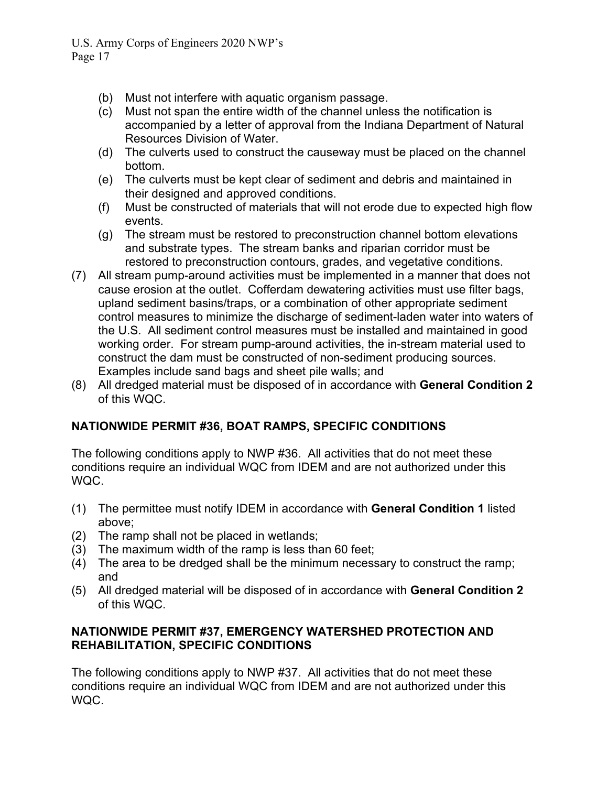- (b) Must not interfere with aquatic organism passage.
- (c) Must not span the entire width of the channel unless the notification is accompanied by a letter of approval from the Indiana Department of Natural Resources Division of Water.
- (d) The culverts used to construct the causeway must be placed on the channel bottom.
- (e) The culverts must be kept clear of sediment and debris and maintained in their designed and approved conditions.
- (f) Must be constructed of materials that will not erode due to expected high flow events.
- (g) The stream must be restored to preconstruction channel bottom elevations and substrate types. The stream banks and riparian corridor must be restored to preconstruction contours, grades, and vegetative conditions.
- (7) All stream pump-around activities must be implemented in a manner that does not cause erosion at the outlet. Cofferdam dewatering activities must use filter bags, upland sediment basins/traps, or a combination of other appropriate sediment control measures to minimize the discharge of sediment-laden water into waters of the U.S. All sediment control measures must be installed and maintained in good working order. For stream pump-around activities, the in-stream material used to construct the dam must be constructed of non-sediment producing sources. Examples include sand bags and sheet pile walls; and
- (8) All dredged material must be disposed of in accordance with **General Condition 2** of this WQC.

# **NATIONWIDE PERMIT #36, BOAT RAMPS, SPECIFIC CONDITIONS**

The following conditions apply to NWP #36. All activities that do not meet these conditions require an individual WQC from IDEM and are not authorized under this WQC.

- (1) The permittee must notify IDEM in accordance with **General Condition 1** listed above;
- (2) The ramp shall not be placed in wetlands;
- (3) The maximum width of the ramp is less than 60 feet;
- (4) The area to be dredged shall be the minimum necessary to construct the ramp; and
- (5) All dredged material will be disposed of in accordance with **General Condition 2** of this WQC.

# **NATIONWIDE PERMIT #37, EMERGENCY WATERSHED PROTECTION AND REHABILITATION, SPECIFIC CONDITIONS**

The following conditions apply to NWP #37. All activities that do not meet these conditions require an individual WQC from IDEM and are not authorized under this WQC.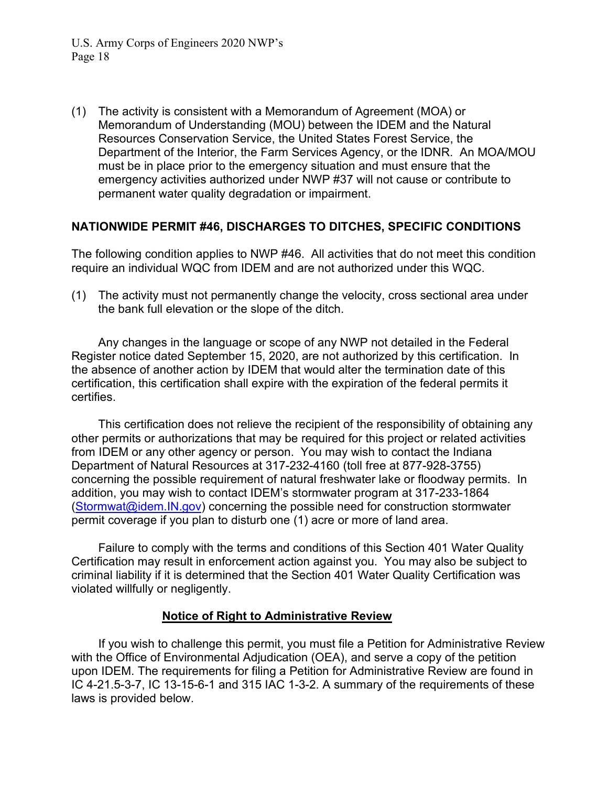(1) The activity is consistent with a Memorandum of Agreement (MOA) or Memorandum of Understanding (MOU) between the IDEM and the Natural Resources Conservation Service, the United States Forest Service, the Department of the Interior, the Farm Services Agency, or the IDNR. An MOA/MOU must be in place prior to the emergency situation and must ensure that the emergency activities authorized under NWP #37 will not cause or contribute to permanent water quality degradation or impairment.

### **NATIONWIDE PERMIT #46, DISCHARGES TO DITCHES, SPECIFIC CONDITIONS**

The following condition applies to NWP #46. All activities that do not meet this condition require an individual WQC from IDEM and are not authorized under this WQC.

(1) The activity must not permanently change the velocity, cross sectional area under the bank full elevation or the slope of the ditch.

Any changes in the language or scope of any NWP not detailed in the Federal Register notice dated September 15, 2020, are not authorized by this certification. In the absence of another action by IDEM that would alter the termination date of this certification, this certification shall expire with the expiration of the federal permits it certifies.

This certification does not relieve the recipient of the responsibility of obtaining any other permits or authorizations that may be required for this project or related activities from IDEM or any other agency or person. You may wish to contact the Indiana Department of Natural Resources at 317-232-4160 (toll free at 877-928-3755) concerning the possible requirement of natural freshwater lake or floodway permits. In addition, you may wish to contact IDEM's stormwater program at 317-233-1864 [\(Stormwat@idem.IN.gov\)](mailto:Stormwat@idem.IN.gov) concerning the possible need for construction stormwater permit coverage if you plan to disturb one (1) acre or more of land area.

Failure to comply with the terms and conditions of this Section 401 Water Quality Certification may result in enforcement action against you. You may also be subject to criminal liability if it is determined that the Section 401 Water Quality Certification was violated willfully or negligently.

#### **Notice of Right to Administrative Review**

If you wish to challenge this permit, you must file a Petition for Administrative Review with the Office of Environmental Adjudication (OEA), and serve a copy of the petition upon IDEM. The requirements for filing a Petition for Administrative Review are found in IC 4-21.5-3-7, IC 13-15-6-1 and 315 IAC 1-3-2. A summary of the requirements of these laws is provided below.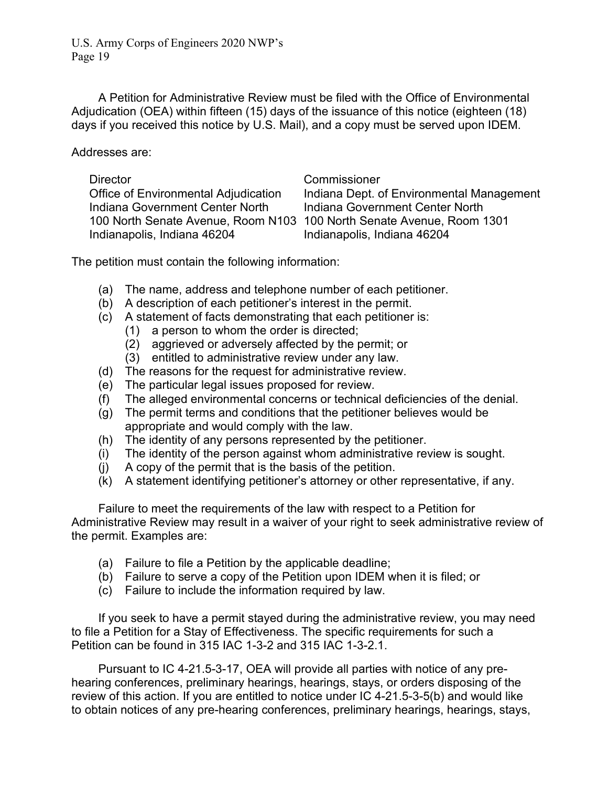A Petition for Administrative Review must be filed with the Office of Environmental Adjudication (OEA) within fifteen (15) days of the issuance of this notice (eighteen (18) days if you received this notice by U.S. Mail), and a copy must be served upon IDEM.

Addresses are:

Indiana Government Center North Indiana Government Center North Indianapolis, Indiana 46204 Indianapolis, Indiana 46204

#### Director Commissioner

Office of Environmental Adjudication Indiana Dept. of Environmental Management 100 North Senate Avenue, Room N103 100 North Senate Avenue, Room 1301

The petition must contain the following information:

- (a) The name, address and telephone number of each petitioner.
- (b) A description of each petitioner's interest in the permit.
- (c) A statement of facts demonstrating that each petitioner is:
	- (1) a person to whom the order is directed;
	- (2) aggrieved or adversely affected by the permit; or
	- (3) entitled to administrative review under any law.
- (d) The reasons for the request for administrative review.
- (e) The particular legal issues proposed for review.
- (f) The alleged environmental concerns or technical deficiencies of the denial.
- (g) The permit terms and conditions that the petitioner believes would be appropriate and would comply with the law.
- (h) The identity of any persons represented by the petitioner.
- (i) The identity of the person against whom administrative review is sought.
- (j) A copy of the permit that is the basis of the petition.
- (k) A statement identifying petitioner's attorney or other representative, if any.

Failure to meet the requirements of the law with respect to a Petition for Administrative Review may result in a waiver of your right to seek administrative review of the permit. Examples are:

- (a) Failure to file a Petition by the applicable deadline;
- (b) Failure to serve a copy of the Petition upon IDEM when it is filed; or
- (c) Failure to include the information required by law.

If you seek to have a permit stayed during the administrative review, you may need to file a Petition for a Stay of Effectiveness. The specific requirements for such a Petition can be found in 315 IAC 1-3-2 and 315 IAC 1-3-2.1.

Pursuant to IC 4-21.5-3-17, OEA will provide all parties with notice of any prehearing conferences, preliminary hearings, hearings, stays, or orders disposing of the review of this action. If you are entitled to notice under IC 4-21.5-3-5(b) and would like to obtain notices of any pre-hearing conferences, preliminary hearings, hearings, stays,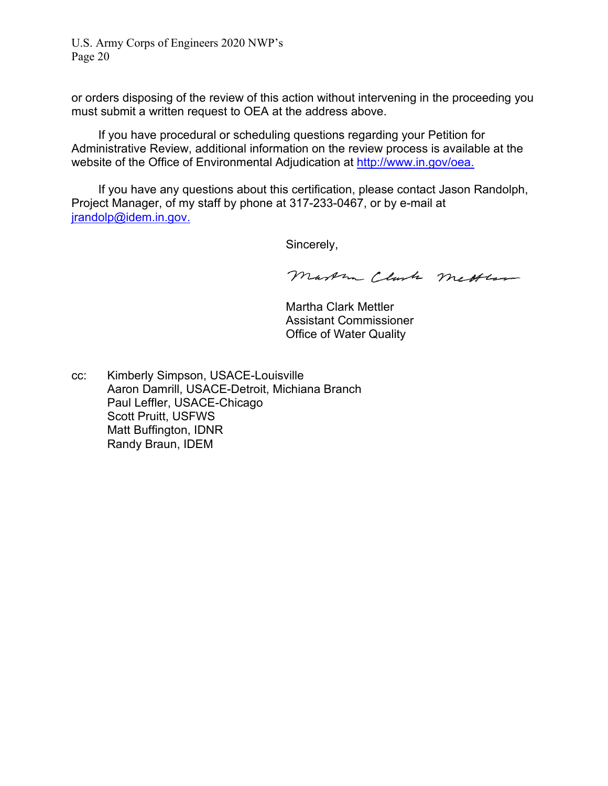or orders disposing of the review of this action without intervening in the proceeding you must submit a written request to OEA at the address above.

If you have procedural or scheduling questions regarding your Petition for Administrative Review, additional information on the review process is available at the website of the Office of Environmental Adjudication at [http://www.in.gov/oea.](http://www.in.gov/oea)

If you have any questions about this certification, please contact Jason Randolph, Project Manager, of my staff by phone at 317-233-0467, or by e-mail at [jrandolp@idem.in.gov.](mailto:jrandolp@idem.in.gov)

Sincerely,

Martin Clark metter

Martha Clark Mettler Assistant Commissioner Office of Water Quality

cc: Kimberly Simpson, USACE-Louisville Aaron Damrill, USACE-Detroit, Michiana Branch Paul Leffler, USACE-Chicago Scott Pruitt, USFWS Matt Buffington, IDNR Randy Braun, IDEM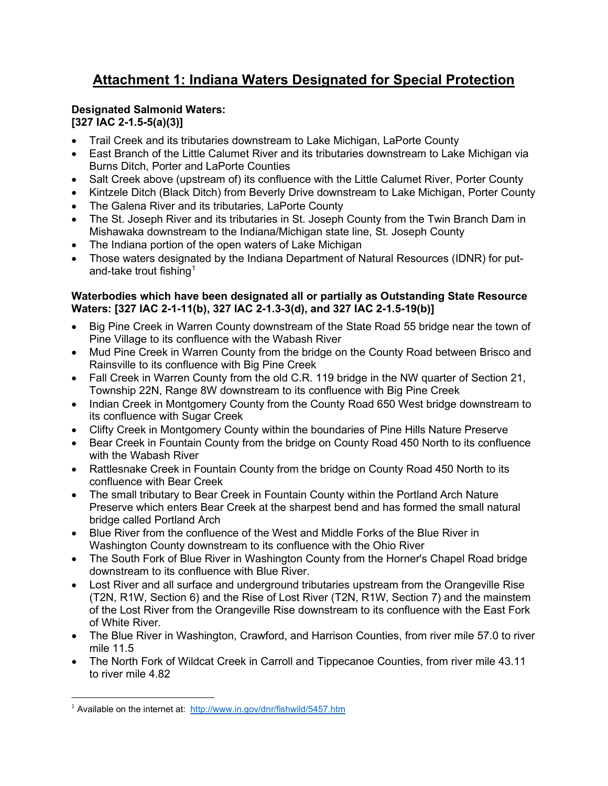# **Attachment 1: Indiana Waters Designated for Special Protection**

#### **Designated Salmonid Waters: [327 IAC 2-1.5-5(a)(3)]**

- Trail Creek and its tributaries downstream to Lake Michigan, LaPorte County
- East Branch of the Little Calumet River and its tributaries downstream to Lake Michigan via Burns Ditch, Porter and LaPorte Counties
- Salt Creek above (upstream of) its confluence with the Little Calumet River, Porter County
- Kintzele Ditch (Black Ditch) from Beverly Drive downstream to Lake Michigan, Porter County
- The Galena River and its tributaries, LaPorte County
- The St. Joseph River and its tributaries in St. Joseph County from the Twin Branch Dam in Mishawaka downstream to the Indiana/Michigan state line, St. Joseph County
- The Indiana portion of the open waters of Lake Michigan
- Those waters designated by the Indiana Department of Natural Resources (IDNR) for put-and-take trout fishing<sup>[1](#page-27-0)</sup>

#### **Waterbodies which have been designated all or partially as Outstanding State Resource Waters: [327 IAC 2-1-11(b), 327 IAC 2-1.3-3(d), and 327 IAC 2-1.5-19(b)]**

- Big Pine Creek in Warren County downstream of the State Road 55 bridge near the town of Pine Village to its confluence with the Wabash River
- Mud Pine Creek in Warren County from the bridge on the County Road between Brisco and Rainsville to its confluence with Big Pine Creek
- Fall Creek in Warren County from the old C.R. 119 bridge in the NW quarter of Section 21, Township 22N, Range 8W downstream to its confluence with Big Pine Creek
- Indian Creek in Montgomery County from the County Road 650 West bridge downstream to its confluence with Sugar Creek
- Clifty Creek in Montgomery County within the boundaries of Pine Hills Nature Preserve
- Bear Creek in Fountain County from the bridge on County Road 450 North to its confluence with the Wabash River
- Rattlesnake Creek in Fountain County from the bridge on County Road 450 North to its confluence with Bear Creek
- The small tributary to Bear Creek in Fountain County within the Portland Arch Nature Preserve which enters Bear Creek at the sharpest bend and has formed the small natural bridge called Portland Arch
- Blue River from the confluence of the West and Middle Forks of the Blue River in Washington County downstream to its confluence with the Ohio River
- The South Fork of Blue River in Washington County from the Horner's Chapel Road bridge downstream to its confluence with Blue River.
- Lost River and all surface and underground tributaries upstream from the Orangeville Rise (T2N, R1W, Section 6) and the Rise of Lost River (T2N, R1W, Section 7) and the mainstem of the Lost River from the Orangeville Rise downstream to its confluence with the East Fork of White River.
- The Blue River in Washington, Crawford, and Harrison Counties, from river mile 57.0 to river mile 11.5
- The North Fork of Wildcat Creek in Carroll and Tippecanoe Counties, from river mile 43.11 to river mile 4.82

<span id="page-27-0"></span><sup>&</sup>lt;sup>1</sup> Available on the internet at: <http://www.in.gov/dnr/fishwild/5457.htm>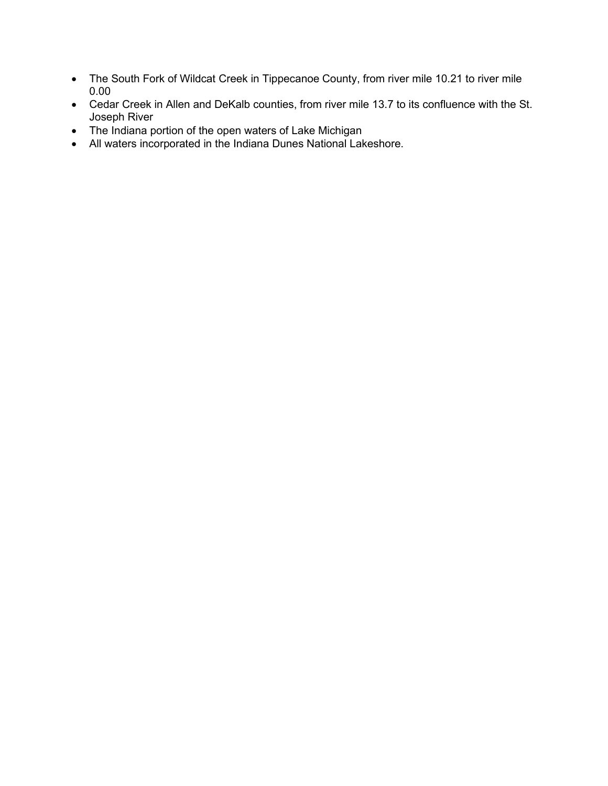- The South Fork of Wildcat Creek in Tippecanoe County, from river mile 10.21 to river mile 0.00
- Cedar Creek in Allen and DeKalb counties, from river mile 13.7 to its confluence with the St. Joseph River
- The Indiana portion of the open waters of Lake Michigan
- All waters incorporated in the Indiana Dunes National Lakeshore.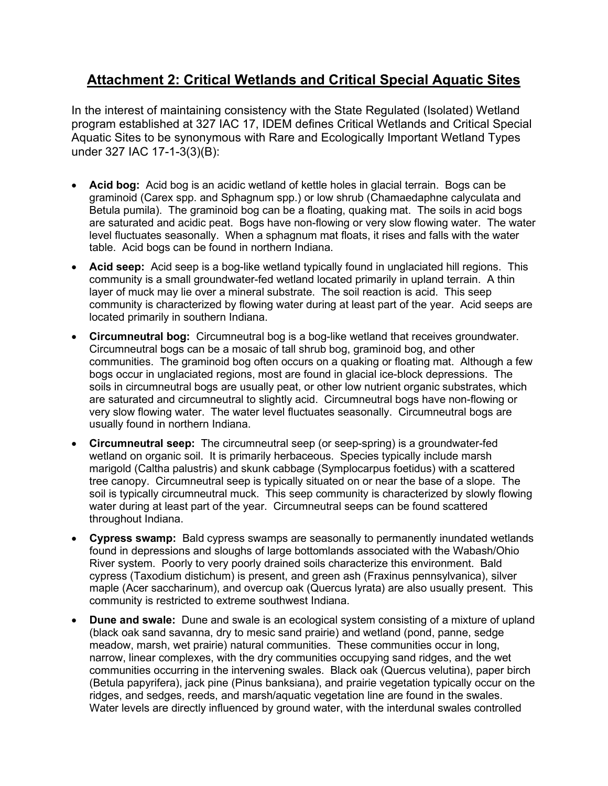# **Attachment 2: Critical Wetlands and Critical Special Aquatic Sites**

In the interest of maintaining consistency with the State Regulated (Isolated) Wetland program established at 327 IAC 17, IDEM defines Critical Wetlands and Critical Special Aquatic Sites to be synonymous with Rare and Ecologically Important Wetland Types under 327 IAC 17-1-3(3)(B):

- **Acid bog:** Acid bog is an acidic wetland of kettle holes in glacial terrain. Bogs can be graminoid (Carex spp. and Sphagnum spp.) or low shrub (Chamaedaphne calyculata and Betula pumila). The graminoid bog can be a floating, quaking mat. The soils in acid bogs are saturated and acidic peat. Bogs have non-flowing or very slow flowing water. The water level fluctuates seasonally. When a sphagnum mat floats, it rises and falls with the water table. Acid bogs can be found in northern Indiana.
- **Acid seep:** Acid seep is a bog-like wetland typically found in unglaciated hill regions. This community is a small groundwater-fed wetland located primarily in upland terrain. A thin layer of muck may lie over a mineral substrate. The soil reaction is acid. This seep community is characterized by flowing water during at least part of the year. Acid seeps are located primarily in southern Indiana.
- **Circumneutral bog:** Circumneutral bog is a bog-like wetland that receives groundwater. Circumneutral bogs can be a mosaic of tall shrub bog, graminoid bog, and other communities. The graminoid bog often occurs on a quaking or floating mat. Although a few bogs occur in unglaciated regions, most are found in glacial ice-block depressions. The soils in circumneutral bogs are usually peat, or other low nutrient organic substrates, which are saturated and circumneutral to slightly acid. Circumneutral bogs have non-flowing or very slow flowing water. The water level fluctuates seasonally. Circumneutral bogs are usually found in northern Indiana.
- **Circumneutral seep:** The circumneutral seep (or seep-spring) is a groundwater-fed wetland on organic soil. It is primarily herbaceous. Species typically include marsh marigold (Caltha palustris) and skunk cabbage (Symplocarpus foetidus) with a scattered tree canopy. Circumneutral seep is typically situated on or near the base of a slope. The soil is typically circumneutral muck. This seep community is characterized by slowly flowing water during at least part of the year. Circumneutral seeps can be found scattered throughout Indiana.
- **Cypress swamp:** Bald cypress swamps are seasonally to permanently inundated wetlands found in depressions and sloughs of large bottomlands associated with the Wabash/Ohio River system. Poorly to very poorly drained soils characterize this environment. Bald cypress (Taxodium distichum) is present, and green ash (Fraxinus pennsylvanica), silver maple (Acer saccharinum), and overcup oak (Quercus lyrata) are also usually present. This community is restricted to extreme southwest Indiana.
- **Dune and swale:** Dune and swale is an ecological system consisting of a mixture of upland (black oak sand savanna, dry to mesic sand prairie) and wetland (pond, panne, sedge meadow, marsh, wet prairie) natural communities. These communities occur in long, narrow, linear complexes, with the dry communities occupying sand ridges, and the wet communities occurring in the intervening swales. Black oak (Quercus velutina), paper birch (Betula papyrifera), jack pine (Pinus banksiana), and prairie vegetation typically occur on the ridges, and sedges, reeds, and marsh/aquatic vegetation line are found in the swales. Water levels are directly influenced by ground water, with the interdunal swales controlled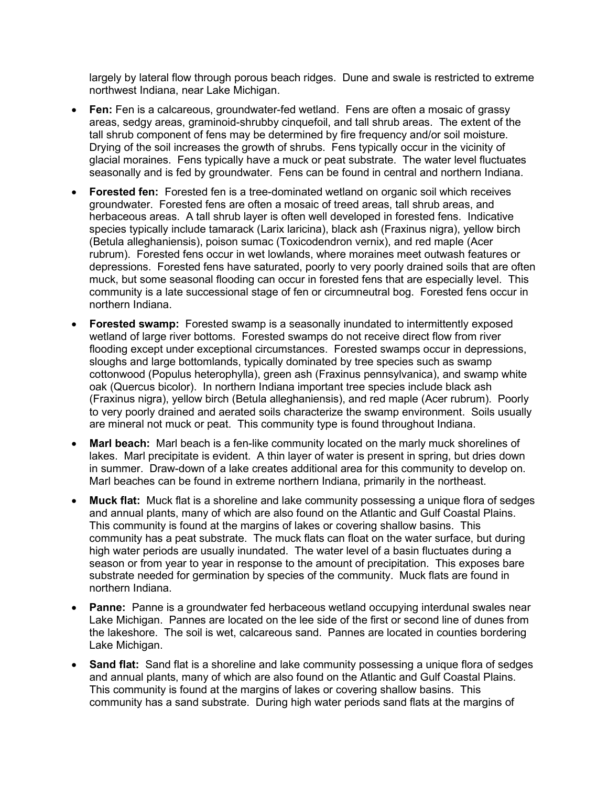largely by lateral flow through porous beach ridges. Dune and swale is restricted to extreme northwest Indiana, near Lake Michigan.

- **Fen:** Fen is a calcareous, groundwater-fed wetland. Fens are often a mosaic of grassy areas, sedgy areas, graminoid-shrubby cinquefoil, and tall shrub areas. The extent of the tall shrub component of fens may be determined by fire frequency and/or soil moisture. Drying of the soil increases the growth of shrubs. Fens typically occur in the vicinity of glacial moraines. Fens typically have a muck or peat substrate. The water level fluctuates seasonally and is fed by groundwater. Fens can be found in central and northern Indiana.
- **Forested fen:** Forested fen is a tree-dominated wetland on organic soil which receives groundwater. Forested fens are often a mosaic of treed areas, tall shrub areas, and herbaceous areas. A tall shrub layer is often well developed in forested fens. Indicative species typically include tamarack (Larix laricina), black ash (Fraxinus nigra), yellow birch (Betula alleghaniensis), poison sumac (Toxicodendron vernix), and red maple (Acer rubrum). Forested fens occur in wet lowlands, where moraines meet outwash features or depressions. Forested fens have saturated, poorly to very poorly drained soils that are often muck, but some seasonal flooding can occur in forested fens that are especially level. This community is a late successional stage of fen or circumneutral bog. Forested fens occur in northern Indiana.
- **Forested swamp:** Forested swamp is a seasonally inundated to intermittently exposed wetland of large river bottoms. Forested swamps do not receive direct flow from river flooding except under exceptional circumstances. Forested swamps occur in depressions, sloughs and large bottomlands, typically dominated by tree species such as swamp cottonwood (Populus heterophylla), green ash (Fraxinus pennsylvanica), and swamp white oak (Quercus bicolor). In northern Indiana important tree species include black ash (Fraxinus nigra), yellow birch (Betula alleghaniensis), and red maple (Acer rubrum). Poorly to very poorly drained and aerated soils characterize the swamp environment. Soils usually are mineral not muck or peat. This community type is found throughout Indiana.
- **Marl beach:** Marl beach is a fen-like community located on the marly muck shorelines of lakes. Marl precipitate is evident. A thin layer of water is present in spring, but dries down in summer. Draw-down of a lake creates additional area for this community to develop on. Marl beaches can be found in extreme northern Indiana, primarily in the northeast.
- **Muck flat:** Muck flat is a shoreline and lake community possessing a unique flora of sedges and annual plants, many of which are also found on the Atlantic and Gulf Coastal Plains. This community is found at the margins of lakes or covering shallow basins. This community has a peat substrate. The muck flats can float on the water surface, but during high water periods are usually inundated. The water level of a basin fluctuates during a season or from year to year in response to the amount of precipitation. This exposes bare substrate needed for germination by species of the community. Muck flats are found in northern Indiana.
- **Panne:** Panne is a groundwater fed herbaceous wetland occupying interdunal swales near Lake Michigan. Pannes are located on the lee side of the first or second line of dunes from the lakeshore. The soil is wet, calcareous sand. Pannes are located in counties bordering Lake Michigan.
- **Sand flat:** Sand flat is a shoreline and lake community possessing a unique flora of sedges and annual plants, many of which are also found on the Atlantic and Gulf Coastal Plains. This community is found at the margins of lakes or covering shallow basins. This community has a sand substrate. During high water periods sand flats at the margins of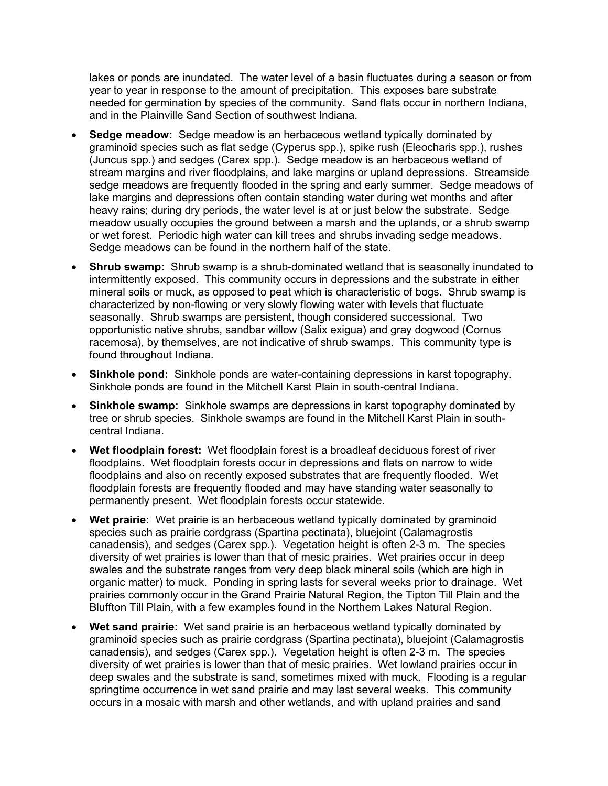lakes or ponds are inundated. The water level of a basin fluctuates during a season or from year to year in response to the amount of precipitation. This exposes bare substrate needed for germination by species of the community. Sand flats occur in northern Indiana, and in the Plainville Sand Section of southwest Indiana.

- **Sedge meadow:** Sedge meadow is an herbaceous wetland typically dominated by graminoid species such as flat sedge (Cyperus spp.), spike rush (Eleocharis spp.), rushes (Juncus spp.) and sedges (Carex spp.). Sedge meadow is an herbaceous wetland of stream margins and river floodplains, and lake margins or upland depressions. Streamside sedge meadows are frequently flooded in the spring and early summer. Sedge meadows of lake margins and depressions often contain standing water during wet months and after heavy rains; during dry periods, the water level is at or just below the substrate. Sedge meadow usually occupies the ground between a marsh and the uplands, or a shrub swamp or wet forest. Periodic high water can kill trees and shrubs invading sedge meadows. Sedge meadows can be found in the northern half of the state.
- **Shrub swamp:** Shrub swamp is a shrub-dominated wetland that is seasonally inundated to intermittently exposed. This community occurs in depressions and the substrate in either mineral soils or muck, as opposed to peat which is characteristic of bogs. Shrub swamp is characterized by non-flowing or very slowly flowing water with levels that fluctuate seasonally. Shrub swamps are persistent, though considered successional. Two opportunistic native shrubs, sandbar willow (Salix exigua) and gray dogwood (Cornus racemosa), by themselves, are not indicative of shrub swamps. This community type is found throughout Indiana.
- **Sinkhole pond:** Sinkhole ponds are water-containing depressions in karst topography. Sinkhole ponds are found in the Mitchell Karst Plain in south-central Indiana.
- **Sinkhole swamp:** Sinkhole swamps are depressions in karst topography dominated by tree or shrub species. Sinkhole swamps are found in the Mitchell Karst Plain in southcentral Indiana.
- **Wet floodplain forest:** Wet floodplain forest is a broadleaf deciduous forest of river floodplains. Wet floodplain forests occur in depressions and flats on narrow to wide floodplains and also on recently exposed substrates that are frequently flooded. Wet floodplain forests are frequently flooded and may have standing water seasonally to permanently present. Wet floodplain forests occur statewide.
- **Wet prairie:** Wet prairie is an herbaceous wetland typically dominated by graminoid species such as prairie cordgrass (Spartina pectinata), bluejoint (Calamagrostis canadensis), and sedges (Carex spp.). Vegetation height is often 2-3 m. The species diversity of wet prairies is lower than that of mesic prairies. Wet prairies occur in deep swales and the substrate ranges from very deep black mineral soils (which are high in organic matter) to muck. Ponding in spring lasts for several weeks prior to drainage. Wet prairies commonly occur in the Grand Prairie Natural Region, the Tipton Till Plain and the Bluffton Till Plain, with a few examples found in the Northern Lakes Natural Region.
- **Wet sand prairie:** Wet sand prairie is an herbaceous wetland typically dominated by graminoid species such as prairie cordgrass (Spartina pectinata), bluejoint (Calamagrostis canadensis), and sedges (Carex spp.). Vegetation height is often 2-3 m. The species diversity of wet prairies is lower than that of mesic prairies. Wet lowland prairies occur in deep swales and the substrate is sand, sometimes mixed with muck. Flooding is a regular springtime occurrence in wet sand prairie and may last several weeks. This community occurs in a mosaic with marsh and other wetlands, and with upland prairies and sand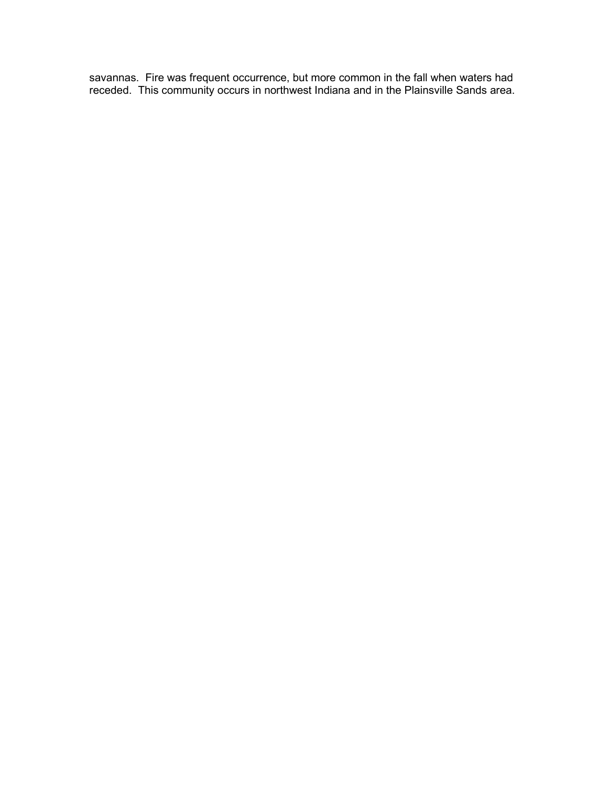savannas. Fire was frequent occurrence, but more common in the fall when waters had receded. This community occurs in northwest Indiana and in the Plainsville Sands area.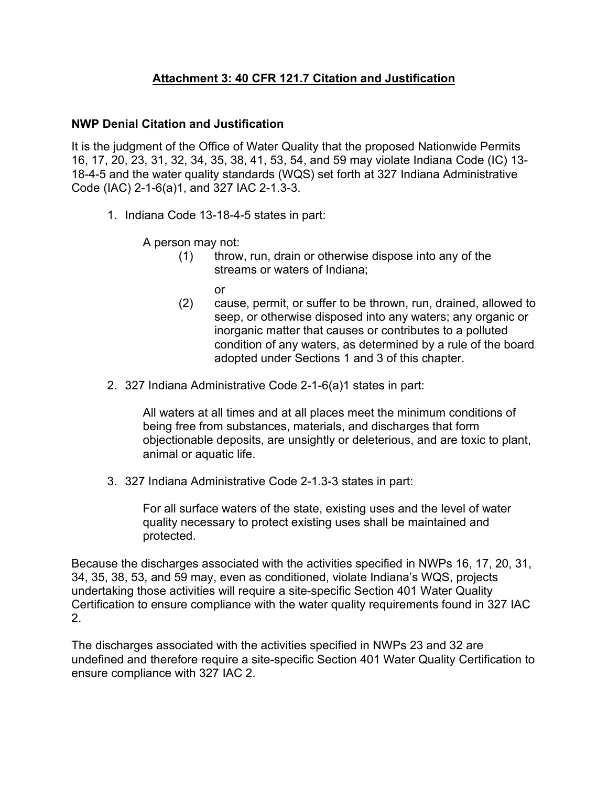# **Attachment 3: 40 CFR 121.7 Citation and Justification**

#### **NWP Denial Citation and Justification**

It is the judgment of the Office of Water Quality that the proposed Nationwide Permits 16, 17, 20, 23, 31, 32, 34, 35, 38, 41, 53, 54, and 59 may violate Indiana Code (IC) 13- 18-4-5 and the water quality standards (WQS) set forth at 327 Indiana Administrative Code (IAC) 2-1-6(a)1, and 327 IAC 2-1.3-3.

1. Indiana Code 13-18-4-5 states in part:

A person may not:

(1) throw, run, drain or otherwise dispose into any of the streams or waters of Indiana;

or

- (2) cause, permit, or suffer to be thrown, run, drained, allowed to seep, or otherwise disposed into any waters; any organic or inorganic matter that causes or contributes to a polluted condition of any waters, as determined by a rule of the board adopted under Sections 1 and 3 of this chapter.
- 2. 327 Indiana Administrative Code 2-1-6(a)1 states in part:

All waters at all times and at all places meet the minimum conditions of being free from substances, materials, and discharges that form objectionable deposits, are unsightly or deleterious, and are toxic to plant, animal or aquatic life.

3. 327 Indiana Administrative Code 2-1.3-3 states in part:

For all surface waters of the state, existing uses and the level of water quality necessary to protect existing uses shall be maintained and protected.

Because the discharges associated with the activities specified in NWPs 16, 17, 20, 31, 34, 35, 38, 53, and 59 may, even as conditioned, violate Indiana's WQS, projects undertaking those activities will require a site-specific Section 401 Water Quality Certification to ensure compliance with the water quality requirements found in 327 IAC 2.

The discharges associated with the activities specified in NWPs 23 and 32 are undefined and therefore require a site-specific Section 401 Water Quality Certification to ensure compliance with 327 IAC 2.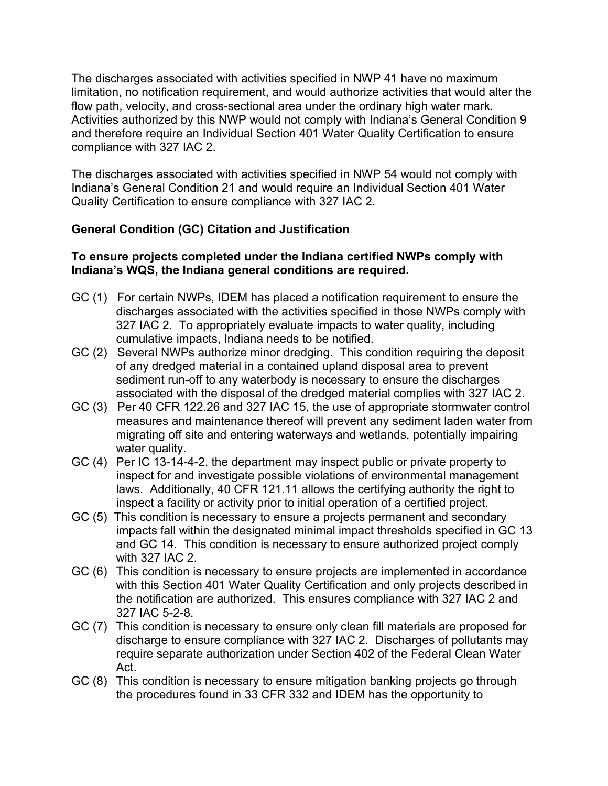The discharges associated with activities specified in NWP 41 have no maximum limitation, no notification requirement, and would authorize activities that would alter the flow path, velocity, and cross-sectional area under the ordinary high water mark. Activities authorized by this NWP would not comply with Indiana's General Condition 9 and therefore require an Individual Section 401 Water Quality Certification to ensure compliance with 327 IAC 2.

The discharges associated with activities specified in NWP 54 would not comply with Indiana's General Condition 21 and would require an Individual Section 401 Water Quality Certification to ensure compliance with 327 IAC 2.

# **General Condition (GC) Citation and Justification**

## **To ensure projects completed under the Indiana certified NWPs comply with Indiana's WQS, the Indiana general conditions are required.**

- GC (1) For certain NWPs, IDEM has placed a notification requirement to ensure the discharges associated with the activities specified in those NWPs comply with 327 IAC 2. To appropriately evaluate impacts to water quality, including cumulative impacts, Indiana needs to be notified.
- GC (2) Several NWPs authorize minor dredging. This condition requiring the deposit of any dredged material in a contained upland disposal area to prevent sediment run-off to any waterbody is necessary to ensure the discharges associated with the disposal of the dredged material complies with 327 IAC 2.
- GC (3) Per 40 CFR 122.26 and 327 IAC 15, the use of appropriate stormwater control measures and maintenance thereof will prevent any sediment laden water from migrating off site and entering waterways and wetlands, potentially impairing water quality.
- GC (4) Per IC 13-14-4-2, the department may inspect public or private property to inspect for and investigate possible violations of environmental management laws. Additionally, 40 CFR 121.11 allows the certifying authority the right to inspect a facility or activity prior to initial operation of a certified project.
- GC (5) This condition is necessary to ensure a projects permanent and secondary impacts fall within the designated minimal impact thresholds specified in GC 13 and GC 14. This condition is necessary to ensure authorized project comply with 327 IAC 2.
- GC (6) This condition is necessary to ensure projects are implemented in accordance with this Section 401 Water Quality Certification and only projects described in the notification are authorized. This ensures compliance with 327 IAC 2 and 327 IAC 5-2-8.
- GC (7) This condition is necessary to ensure only clean fill materials are proposed for discharge to ensure compliance with 327 IAC 2. Discharges of pollutants may require separate authorization under Section 402 of the Federal Clean Water Act.
- GC (8) This condition is necessary to ensure mitigation banking projects go through the procedures found in 33 CFR 332 and IDEM has the opportunity to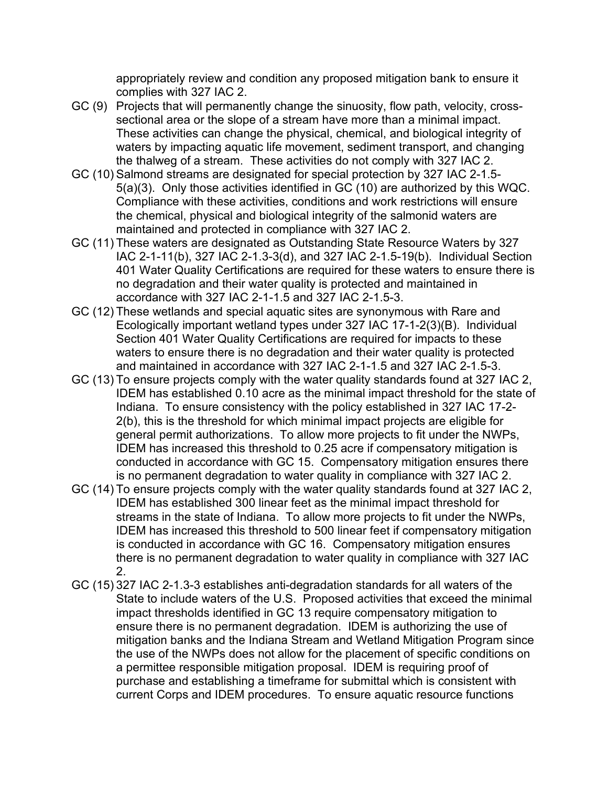appropriately review and condition any proposed mitigation bank to ensure it complies with 327 IAC 2.

- GC (9) Projects that will permanently change the sinuosity, flow path, velocity, crosssectional area or the slope of a stream have more than a minimal impact. These activities can change the physical, chemical, and biological integrity of waters by impacting aquatic life movement, sediment transport, and changing the thalweg of a stream. These activities do not comply with 327 IAC 2.
- GC (10) Salmond streams are designated for special protection by 327 IAC 2-1.5- 5(a)(3). Only those activities identified in GC (10) are authorized by this WQC. Compliance with these activities, conditions and work restrictions will ensure the chemical, physical and biological integrity of the salmonid waters are maintained and protected in compliance with 327 IAC 2.
- GC (11) These waters are designated as Outstanding State Resource Waters by 327 IAC 2-1-11(b), 327 IAC 2-1.3-3(d), and 327 IAC 2-1.5-19(b). Individual Section 401 Water Quality Certifications are required for these waters to ensure there is no degradation and their water quality is protected and maintained in accordance with 327 IAC 2-1-1.5 and 327 IAC 2-1.5-3.
- GC (12) These wetlands and special aquatic sites are synonymous with Rare and Ecologically important wetland types under 327 IAC 17-1-2(3)(B). Individual Section 401 Water Quality Certifications are required for impacts to these waters to ensure there is no degradation and their water quality is protected and maintained in accordance with 327 IAC 2-1-1.5 and 327 IAC 2-1.5-3.
- GC (13) To ensure projects comply with the water quality standards found at 327 IAC 2, IDEM has established 0.10 acre as the minimal impact threshold for the state of Indiana. To ensure consistency with the policy established in 327 IAC 17-2- 2(b), this is the threshold for which minimal impact projects are eligible for general permit authorizations. To allow more projects to fit under the NWPs, IDEM has increased this threshold to 0.25 acre if compensatory mitigation is conducted in accordance with GC 15. Compensatory mitigation ensures there is no permanent degradation to water quality in compliance with 327 IAC 2.
- GC (14) To ensure projects comply with the water quality standards found at 327 IAC 2, IDEM has established 300 linear feet as the minimal impact threshold for streams in the state of Indiana. To allow more projects to fit under the NWPs, IDEM has increased this threshold to 500 linear feet if compensatory mitigation is conducted in accordance with GC 16. Compensatory mitigation ensures there is no permanent degradation to water quality in compliance with 327 IAC  $\mathcal{P}$
- GC (15) 327 IAC 2-1.3-3 establishes anti-degradation standards for all waters of the State to include waters of the U.S. Proposed activities that exceed the minimal impact thresholds identified in GC 13 require compensatory mitigation to ensure there is no permanent degradation. IDEM is authorizing the use of mitigation banks and the Indiana Stream and Wetland Mitigation Program since the use of the NWPs does not allow for the placement of specific conditions on a permittee responsible mitigation proposal. IDEM is requiring proof of purchase and establishing a timeframe for submittal which is consistent with current Corps and IDEM procedures. To ensure aquatic resource functions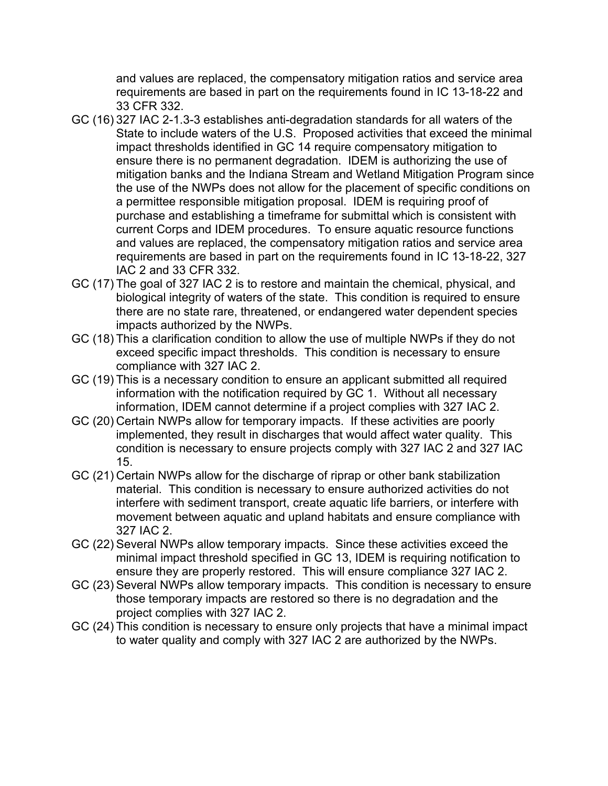and values are replaced, the compensatory mitigation ratios and service area requirements are based in part on the requirements found in IC 13-18-22 and 33 CFR 332.

- GC (16) 327 IAC 2-1.3-3 establishes anti-degradation standards for all waters of the State to include waters of the U.S. Proposed activities that exceed the minimal impact thresholds identified in GC 14 require compensatory mitigation to ensure there is no permanent degradation. IDEM is authorizing the use of mitigation banks and the Indiana Stream and Wetland Mitigation Program since the use of the NWPs does not allow for the placement of specific conditions on a permittee responsible mitigation proposal. IDEM is requiring proof of purchase and establishing a timeframe for submittal which is consistent with current Corps and IDEM procedures. To ensure aquatic resource functions and values are replaced, the compensatory mitigation ratios and service area requirements are based in part on the requirements found in IC 13-18-22, 327 IAC 2 and 33 CFR 332.
- GC (17) The goal of 327 IAC 2 is to restore and maintain the chemical, physical, and biological integrity of waters of the state. This condition is required to ensure there are no state rare, threatened, or endangered water dependent species impacts authorized by the NWPs.
- GC (18) This a clarification condition to allow the use of multiple NWPs if they do not exceed specific impact thresholds. This condition is necessary to ensure compliance with 327 IAC 2.
- GC (19) This is a necessary condition to ensure an applicant submitted all required information with the notification required by GC 1. Without all necessary information, IDEM cannot determine if a project complies with 327 IAC 2.
- GC (20) Certain NWPs allow for temporary impacts. If these activities are poorly implemented, they result in discharges that would affect water quality. This condition is necessary to ensure projects comply with 327 IAC 2 and 327 IAC 15.
- GC (21) Certain NWPs allow for the discharge of riprap or other bank stabilization material. This condition is necessary to ensure authorized activities do not interfere with sediment transport, create aquatic life barriers, or interfere with movement between aquatic and upland habitats and ensure compliance with 327 IAC 2.
- GC (22) Several NWPs allow temporary impacts. Since these activities exceed the minimal impact threshold specified in GC 13, IDEM is requiring notification to ensure they are properly restored. This will ensure compliance 327 IAC 2.
- GC (23) Several NWPs allow temporary impacts. This condition is necessary to ensure those temporary impacts are restored so there is no degradation and the project complies with 327 IAC 2.
- GC (24) This condition is necessary to ensure only projects that have a minimal impact to water quality and comply with 327 IAC 2 are authorized by the NWPs.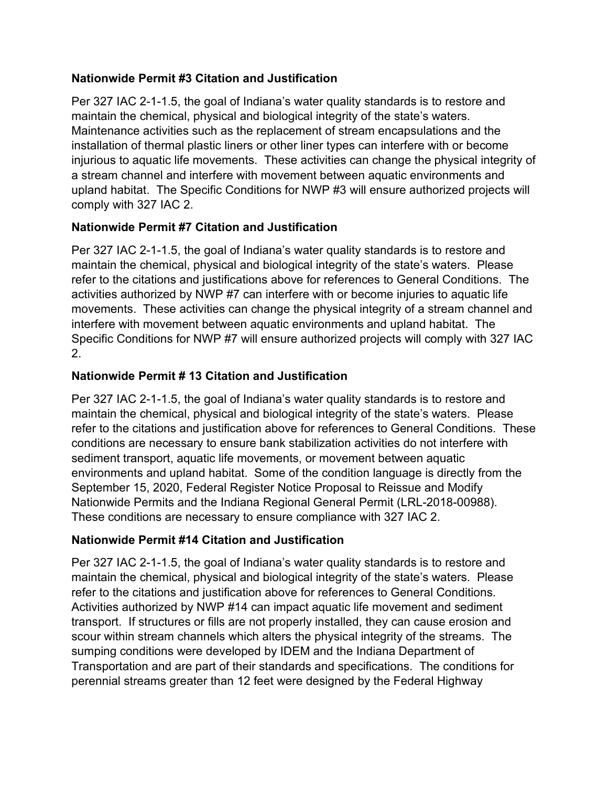# **Nationwide Permit #3 Citation and Justification**

Per 327 IAC 2-1-1.5, the goal of Indiana's water quality standards is to restore and maintain the chemical, physical and biological integrity of the state's waters. Maintenance activities such as the replacement of stream encapsulations and the installation of thermal plastic liners or other liner types can interfere with or become injurious to aquatic life movements. These activities can change the physical integrity of a stream channel and interfere with movement between aquatic environments and upland habitat. The Specific Conditions for NWP #3 will ensure authorized projects will comply with 327 IAC 2.

# **Nationwide Permit #7 Citation and Justification**

Per 327 IAC 2-1-1.5, the goal of Indiana's water quality standards is to restore and maintain the chemical, physical and biological integrity of the state's waters. Please refer to the citations and justifications above for references to General Conditions. The activities authorized by NWP #7 can interfere with or become injuries to aquatic life movements. These activities can change the physical integrity of a stream channel and interfere with movement between aquatic environments and upland habitat. The Specific Conditions for NWP #7 will ensure authorized projects will comply with 327 IAC 2.

# **Nationwide Permit # 13 Citation and Justification**

Per 327 IAC 2-1-1.5, the goal of Indiana's water quality standards is to restore and maintain the chemical, physical and biological integrity of the state's waters. Please refer to the citations and justification above for references to General Conditions. These conditions are necessary to ensure bank stabilization activities do not interfere with sediment transport, aquatic life movements, or movement between aquatic environments and upland habitat. Some of the condition language is directly from the September 15, 2020, Federal Register Notice Proposal to Reissue and Modify Nationwide Permits and the Indiana Regional General Permit (LRL-2018-00988). These conditions are necessary to ensure compliance with 327 IAC 2.

# **Nationwide Permit #14 Citation and Justification**

Per 327 IAC 2-1-1.5, the goal of Indiana's water quality standards is to restore and maintain the chemical, physical and biological integrity of the state's waters. Please refer to the citations and justification above for references to General Conditions. Activities authorized by NWP #14 can impact aquatic life movement and sediment transport. If structures or fills are not properly installed, they can cause erosion and scour within stream channels which alters the physical integrity of the streams. The sumping conditions were developed by IDEM and the Indiana Department of Transportation and are part of their standards and specifications. The conditions for perennial streams greater than 12 feet were designed by the Federal Highway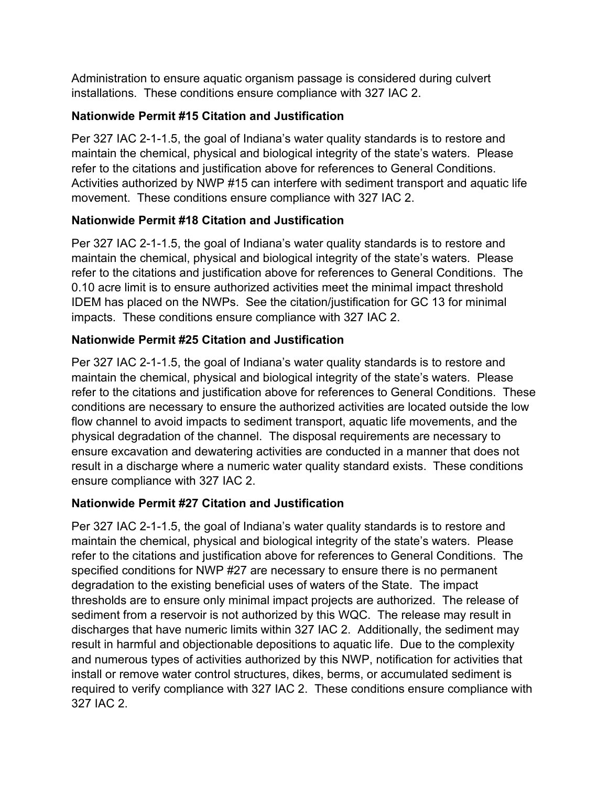Administration to ensure aquatic organism passage is considered during culvert installations. These conditions ensure compliance with 327 IAC 2.

# **Nationwide Permit #15 Citation and Justification**

Per 327 IAC 2-1-1.5, the goal of Indiana's water quality standards is to restore and maintain the chemical, physical and biological integrity of the state's waters. Please refer to the citations and justification above for references to General Conditions. Activities authorized by NWP #15 can interfere with sediment transport and aquatic life movement. These conditions ensure compliance with 327 IAC 2.

# **Nationwide Permit #18 Citation and Justification**

Per 327 IAC 2-1-1.5, the goal of Indiana's water quality standards is to restore and maintain the chemical, physical and biological integrity of the state's waters. Please refer to the citations and justification above for references to General Conditions. The 0.10 acre limit is to ensure authorized activities meet the minimal impact threshold IDEM has placed on the NWPs. See the citation/justification for GC 13 for minimal impacts. These conditions ensure compliance with 327 IAC 2.

# **Nationwide Permit #25 Citation and Justification**

Per 327 IAC 2-1-1.5, the goal of Indiana's water quality standards is to restore and maintain the chemical, physical and biological integrity of the state's waters. Please refer to the citations and justification above for references to General Conditions. These conditions are necessary to ensure the authorized activities are located outside the low flow channel to avoid impacts to sediment transport, aquatic life movements, and the physical degradation of the channel. The disposal requirements are necessary to ensure excavation and dewatering activities are conducted in a manner that does not result in a discharge where a numeric water quality standard exists. These conditions ensure compliance with 327 IAC 2.

# **Nationwide Permit #27 Citation and Justification**

Per 327 IAC 2-1-1.5, the goal of Indiana's water quality standards is to restore and maintain the chemical, physical and biological integrity of the state's waters. Please refer to the citations and justification above for references to General Conditions. The specified conditions for NWP #27 are necessary to ensure there is no permanent degradation to the existing beneficial uses of waters of the State. The impact thresholds are to ensure only minimal impact projects are authorized. The release of sediment from a reservoir is not authorized by this WQC. The release may result in discharges that have numeric limits within 327 IAC 2. Additionally, the sediment may result in harmful and objectionable depositions to aquatic life. Due to the complexity and numerous types of activities authorized by this NWP, notification for activities that install or remove water control structures, dikes, berms, or accumulated sediment is required to verify compliance with 327 IAC 2. These conditions ensure compliance with 327 IAC 2.